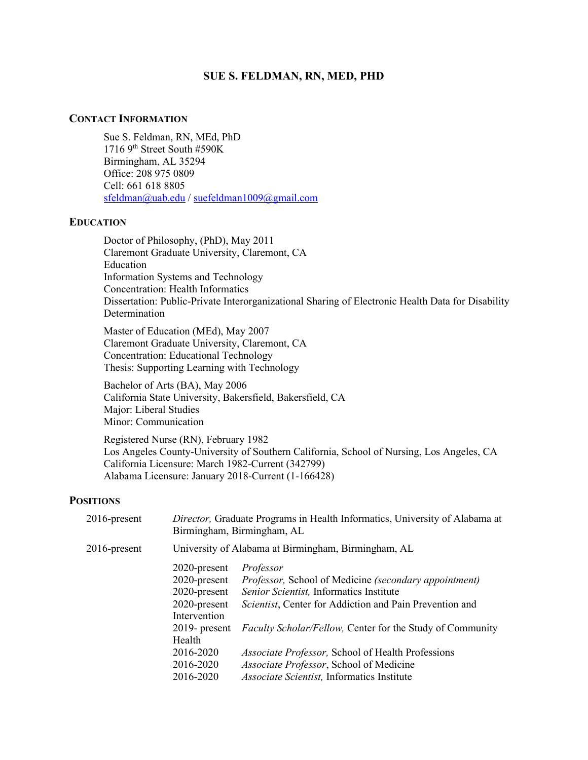### **SUE S. FELDMAN, RN, MED, PHD**

### **CONTACT INFORMATION**

Sue S. Feldman, RN, MEd, PhD 1716 9th Street South #590K Birmingham, AL 35294 Office: 208 975 0809 Cell: 661 618 8805 [sfeldman@uab.edu](mailto:sfeldman@uab.edu) / [suefeldman1009@gmail.com](mailto:suefeldman1009@gmail.com) 

### **EDUCATION**

Doctor of Philosophy, (PhD), May 2011 Claremont Graduate University, Claremont, CA Education Information Systems and Technology Concentration: Health Informatics Dissertation: Public-Private Interorganizational Sharing of Electronic Health Data for Disability Determination

Master of Education (MEd), May 2007 Claremont Graduate University, Claremont, CA Concentration: Educational Technology Thesis: Supporting Learning with Technology

Bachelor of Arts (BA), May 2006 California State University, Bakersfield, Bakersfield, CA Major: Liberal Studies Minor: Communication

Registered Nurse (RN), February 1982 Los Angeles County-University of Southern California, School of Nursing, Los Angeles, CA California Licensure: March 1982-Current (342799) Alabama Licensure: January 2018-Current (1-166428)

## **POSITIONS**

| Director, Graduate Programs in Health Informatics, University of Alabama at<br>Birmingham, Birmingham, AL |                                                                  |  |
|-----------------------------------------------------------------------------------------------------------|------------------------------------------------------------------|--|
| University of Alabama at Birmingham, Birmingham, AL                                                       |                                                                  |  |
| 2020-present                                                                                              | Professor                                                        |  |
| $2020$ -present                                                                                           | Professor, School of Medicine (secondary appointment)            |  |
| $2020$ -present                                                                                           | Senior Scientist, Informatics Institute                          |  |
| $2020$ -present                                                                                           | Scientist, Center for Addiction and Pain Prevention and          |  |
| Intervention                                                                                              |                                                                  |  |
| $2019$ - present                                                                                          | <i>Faculty Scholar/Fellow, Center for the Study of Community</i> |  |
| Health                                                                                                    |                                                                  |  |
| 2016-2020                                                                                                 | Associate Professor, School of Health Professions                |  |
| 2016-2020                                                                                                 | Associate Professor, School of Medicine                          |  |
| 2016-2020                                                                                                 | Associate Scientist, Informatics Institute                       |  |
|                                                                                                           |                                                                  |  |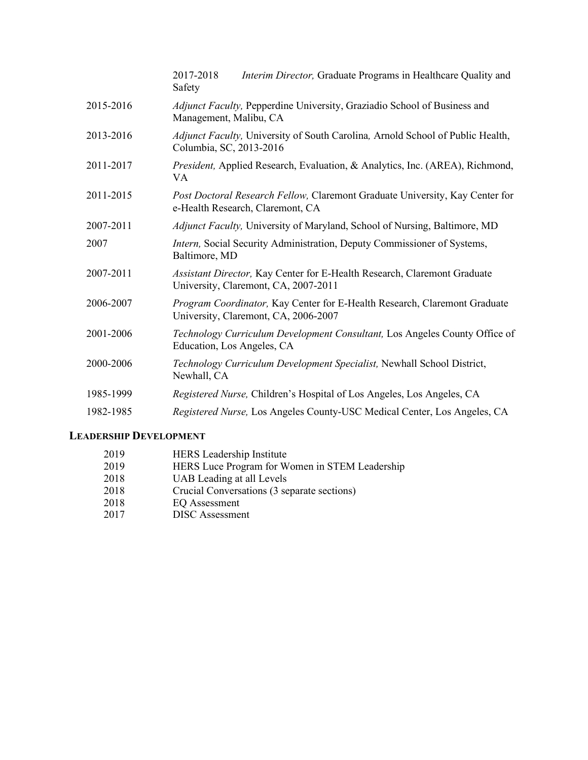|           | Interim Director, Graduate Programs in Healthcare Quality and<br>2017-2018<br>Safety                              |
|-----------|-------------------------------------------------------------------------------------------------------------------|
| 2015-2016 | Adjunct Faculty, Pepperdine University, Graziadio School of Business and<br>Management, Malibu, CA                |
| 2013-2016 | Adjunct Faculty, University of South Carolina, Arnold School of Public Health,<br>Columbia, SC, 2013-2016         |
| 2011-2017 | President, Applied Research, Evaluation, & Analytics, Inc. (AREA), Richmond,<br>VA                                |
| 2011-2015 | Post Doctoral Research Fellow, Claremont Graduate University, Kay Center for<br>e-Health Research, Claremont, CA  |
| 2007-2011 | Adjunct Faculty, University of Maryland, School of Nursing, Baltimore, MD                                         |
| 2007      | Intern, Social Security Administration, Deputy Commissioner of Systems,<br>Baltimore, MD                          |
| 2007-2011 | Assistant Director, Kay Center for E-Health Research, Claremont Graduate<br>University, Claremont, CA, 2007-2011  |
| 2006-2007 | Program Coordinator, Kay Center for E-Health Research, Claremont Graduate<br>University, Claremont, CA, 2006-2007 |
| 2001-2006 | Technology Curriculum Development Consultant, Los Angeles County Office of<br>Education, Los Angeles, CA          |
| 2000-2006 | Technology Curriculum Development Specialist, Newhall School District,<br>Newhall, CA                             |
| 1985-1999 | Registered Nurse, Children's Hospital of Los Angeles, Los Angeles, CA                                             |
| 1982-1985 | Registered Nurse, Los Angeles County-USC Medical Center, Los Angeles, CA                                          |

# **LEADERSHIP DEVELOPMENT**

| 2019 | <b>HERS</b> Leadership Institute               |
|------|------------------------------------------------|
| 2019 | HERS Luce Program for Women in STEM Leadership |
| 2018 | UAB Leading at all Levels                      |
| 2018 | Crucial Conversations (3 separate sections)    |
| 2018 | EQ Assessment                                  |
| 2017 | <b>DISC</b> Assessment                         |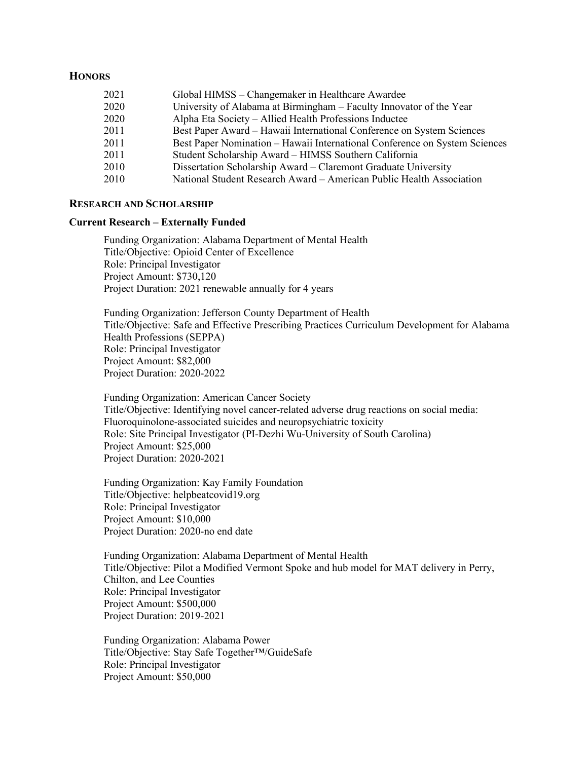### **HONORS**

| 2021 | Global HIMSS – Changemaker in Healthcare Awardee                           |
|------|----------------------------------------------------------------------------|
| 2020 | University of Alabama at Birmingham - Faculty Innovator of the Year        |
| 2020 | Alpha Eta Society - Allied Health Professions Inductee                     |
| 2011 | Best Paper Award – Hawaii International Conference on System Sciences      |
| 2011 | Best Paper Nomination – Hawaii International Conference on System Sciences |
| 2011 | Student Scholarship Award - HIMSS Southern California                      |
| 2010 | Dissertation Scholarship Award – Claremont Graduate University             |
| 2010 | National Student Research Award - American Public Health Association       |

#### **RESEARCH AND SCHOLARSHIP**

#### **Current Research – Externally Funded**

Funding Organization: Alabama Department of Mental Health Title/Objective: Opioid Center of Excellence Role: Principal Investigator Project Amount: \$730,120 Project Duration: 2021 renewable annually for 4 years

Funding Organization: Jefferson County Department of Health Title/Objective: Safe and Effective Prescribing Practices Curriculum Development for Alabama Health Professions (SEPPA) Role: Principal Investigator Project Amount: \$82,000 Project Duration: 2020-2022

Funding Organization: American Cancer Society Title/Objective: Identifying novel cancer-related adverse drug reactions on social media: Fluoroquinolone-associated suicides and neuropsychiatric toxicity Role: Site Principal Investigator (PI-Dezhi Wu-University of South Carolina) Project Amount: \$25,000 Project Duration: 2020-2021

Funding Organization: Kay Family Foundation Title/Objective: helpbeatcovid19.org Role: Principal Investigator Project Amount: \$10,000 Project Duration: 2020-no end date

Funding Organization: Alabama Department of Mental Health Title/Objective: Pilot a Modified Vermont Spoke and hub model for MAT delivery in Perry, Chilton, and Lee Counties Role: Principal Investigator Project Amount: \$500,000 Project Duration: 2019-2021

Funding Organization: Alabama Power Title/Objective: Stay Safe Together™/GuideSafe Role: Principal Investigator Project Amount: \$50,000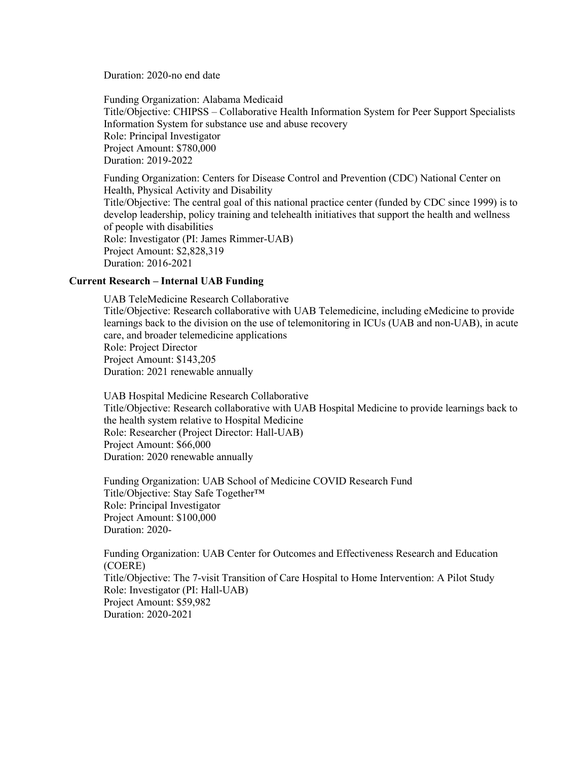Duration: 2020-no end date

Funding Organization: Alabama Medicaid Title/Objective: CHIPSS – Collaborative Health Information System for Peer Support Specialists Information System for substance use and abuse recovery Role: Principal Investigator Project Amount: \$780,000 Duration: 2019-2022

Funding Organization: Centers for Disease Control and Prevention (CDC) National Center on Health, Physical Activity and Disability Title/Objective: The central goal of this national practice center (funded by CDC since 1999) is to develop leadership, policy training and telehealth initiatives that support the health and wellness of people with disabilities Role: Investigator (PI: James Rimmer-UAB) Project Amount: \$2,828,319 Duration: 2016-2021

### **Current Research – Internal UAB Funding**

UAB TeleMedicine Research Collaborative Title/Objective: Research collaborative with UAB Telemedicine, including eMedicine to provide learnings back to the division on the use of telemonitoring in ICUs (UAB and non-UAB), in acute care, and broader telemedicine applications Role: Project Director Project Amount: \$143,205 Duration: 2021 renewable annually

UAB Hospital Medicine Research Collaborative Title/Objective: Research collaborative with UAB Hospital Medicine to provide learnings back to the health system relative to Hospital Medicine Role: Researcher (Project Director: Hall-UAB) Project Amount: \$66,000 Duration: 2020 renewable annually

Funding Organization: UAB School of Medicine COVID Research Fund Title/Objective: Stay Safe Together™ Role: Principal Investigator Project Amount: \$100,000 Duration: 2020-

Funding Organization: UAB Center for Outcomes and Effectiveness Research and Education (COERE) Title/Objective: The 7-visit Transition of Care Hospital to Home Intervention: A Pilot Study Role: Investigator (PI: Hall-UAB) Project Amount: \$59,982 Duration: 2020-2021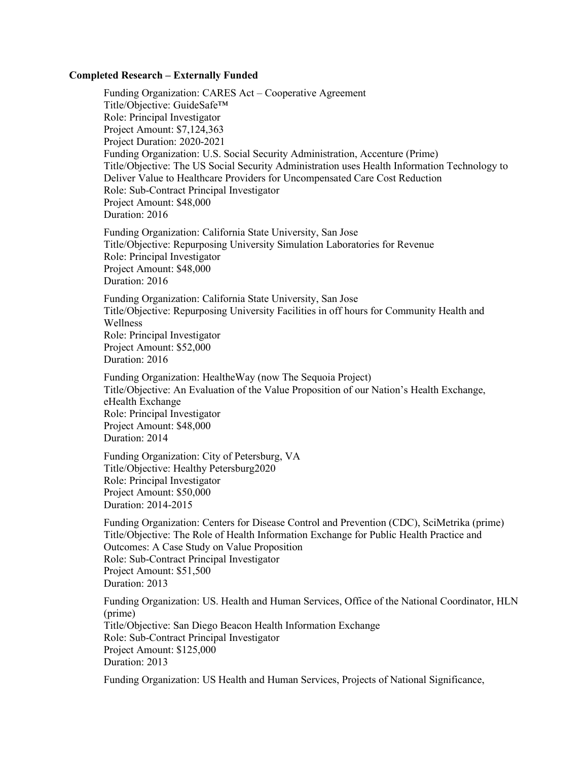#### **Completed Research – Externally Funded**

Funding Organization: CARES Act – Cooperative Agreement Title/Objective: GuideSafe™ Role: Principal Investigator Project Amount: \$7,124,363 Project Duration: 2020-2021 Funding Organization: U.S. Social Security Administration, Accenture (Prime) Title/Objective: The US Social Security Administration uses Health Information Technology to Deliver Value to Healthcare Providers for Uncompensated Care Cost Reduction Role: Sub-Contract Principal Investigator Project Amount: \$48,000 Duration: 2016 Funding Organization: California State University, San Jose Title/Objective: Repurposing University Simulation Laboratories for Revenue Role: Principal Investigator Project Amount: \$48,000 Duration: 2016 Funding Organization: California State University, San Jose Title/Objective: Repurposing University Facilities in off hours for Community Health and Wellness Role: Principal Investigator Project Amount: \$52,000 Duration: 2016 Funding Organization: HealtheWay (now The Sequoia Project) Title/Objective: An Evaluation of the Value Proposition of our Nation's Health Exchange,

eHealth Exchange Role: Principal Investigator Project Amount: \$48,000 Duration: 2014

Funding Organization: City of Petersburg, VA Title/Objective: Healthy Petersburg2020 Role: Principal Investigator Project Amount: \$50,000 Duration: 2014-2015

Funding Organization: Centers for Disease Control and Prevention (CDC), SciMetrika (prime) Title/Objective: The Role of Health Information Exchange for Public Health Practice and Outcomes: A Case Study on Value Proposition Role: Sub-Contract Principal Investigator Project Amount: \$51,500 Duration: 2013

Funding Organization: US. Health and Human Services, Office of the National Coordinator, HLN (prime) Title/Objective: San Diego Beacon Health Information Exchange Role: Sub-Contract Principal Investigator Project Amount: \$125,000 Duration: 2013

Funding Organization: US Health and Human Services, Projects of National Significance,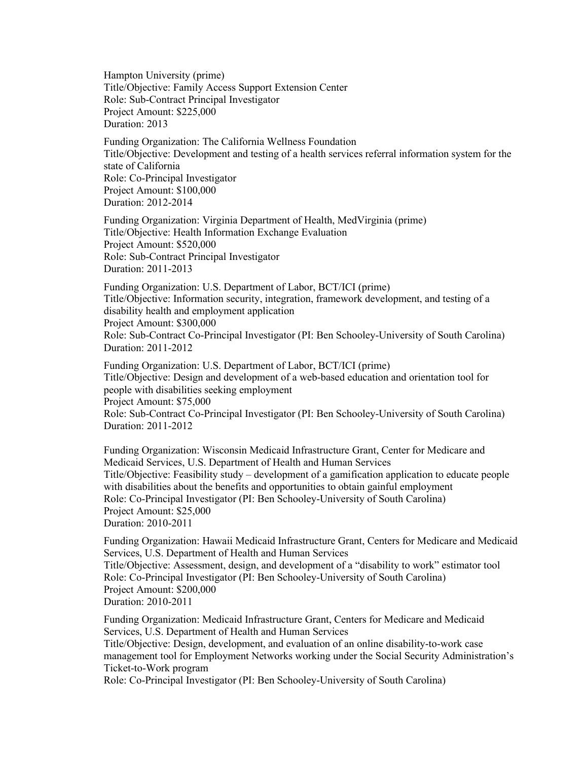Hampton University (prime) Title/Objective: Family Access Support Extension Center Role: Sub-Contract Principal Investigator Project Amount: \$225,000 Duration: 2013

Funding Organization: The California Wellness Foundation Title/Objective: Development and testing of a health services referral information system for the state of California Role: Co-Principal Investigator Project Amount: \$100,000 Duration: 2012-2014

Funding Organization: Virginia Department of Health, MedVirginia (prime) Title/Objective: Health Information Exchange Evaluation Project Amount: \$520,000 Role: Sub-Contract Principal Investigator Duration: 2011-2013

Funding Organization: U.S. Department of Labor, BCT/ICI (prime) Title/Objective: Information security, integration, framework development, and testing of a disability health and employment application Project Amount: \$300,000 Role: Sub-Contract Co-Principal Investigator (PI: Ben Schooley-University of South Carolina) Duration: 2011-2012

Funding Organization: U.S. Department of Labor, BCT/ICI (prime) Title/Objective: Design and development of a web-based education and orientation tool for people with disabilities seeking employment Project Amount: \$75,000 Role: Sub-Contract Co-Principal Investigator (PI: Ben Schooley-University of South Carolina) Duration: 2011-2012

Funding Organization: Wisconsin Medicaid Infrastructure Grant, Center for Medicare and Medicaid Services, U.S. Department of Health and Human Services Title/Objective: Feasibility study – development of a gamification application to educate people with disabilities about the benefits and opportunities to obtain gainful employment Role: Co-Principal Investigator (PI: Ben Schooley-University of South Carolina) Project Amount: \$25,000 Duration: 2010-2011

Funding Organization: Hawaii Medicaid Infrastructure Grant, Centers for Medicare and Medicaid Services, U.S. Department of Health and Human Services Title/Objective: Assessment, design, and development of a "disability to work" estimator tool Role: Co-Principal Investigator (PI: Ben Schooley-University of South Carolina) Project Amount: \$200,000 Duration: 2010-2011

Funding Organization: Medicaid Infrastructure Grant, Centers for Medicare and Medicaid Services, U.S. Department of Health and Human Services Title/Objective: Design, development, and evaluation of an online disability-to-work case management tool for Employment Networks working under the Social Security Administration's

Ticket-to-Work program

Role: Co-Principal Investigator (PI: Ben Schooley-University of South Carolina)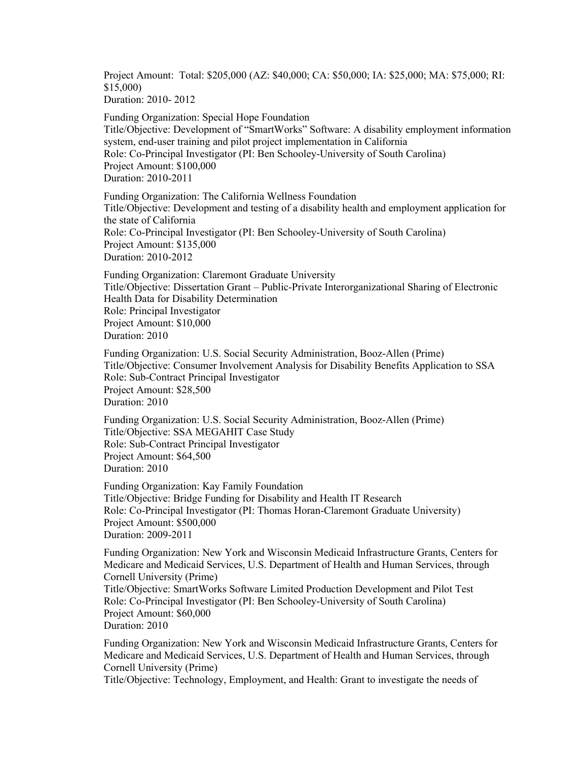Project Amount: Total: \$205,000 (AZ: \$40,000; CA: \$50,000; IA: \$25,000; MA: \$75,000; RI: \$15,000)

Duration: 2010- 2012

Funding Organization: Special Hope Foundation Title/Objective: Development of "SmartWorks" Software: A disability employment information system, end-user training and pilot project implementation in California Role: Co-Principal Investigator (PI: Ben Schooley-University of South Carolina) Project Amount: \$100,000 Duration: 2010-2011

Funding Organization: The California Wellness Foundation Title/Objective: Development and testing of a disability health and employment application for the state of California Role: Co-Principal Investigator (PI: Ben Schooley-University of South Carolina) Project Amount: \$135,000 Duration: 2010-2012

Funding Organization: Claremont Graduate University Title/Objective: Dissertation Grant – Public-Private Interorganizational Sharing of Electronic Health Data for Disability Determination Role: Principal Investigator Project Amount: \$10,000 Duration: 2010

Funding Organization: U.S. Social Security Administration, Booz-Allen (Prime) Title/Objective: Consumer Involvement Analysis for Disability Benefits Application to SSA Role: Sub-Contract Principal Investigator Project Amount: \$28,500 Duration: 2010

Funding Organization: U.S. Social Security Administration, Booz-Allen (Prime) Title/Objective: SSA MEGAHIT Case Study Role: Sub-Contract Principal Investigator Project Amount: \$64,500 Duration: 2010

Funding Organization: Kay Family Foundation Title/Objective: Bridge Funding for Disability and Health IT Research Role: Co-Principal Investigator (PI: Thomas Horan-Claremont Graduate University) Project Amount: \$500,000 Duration: 2009-2011

Funding Organization: New York and Wisconsin Medicaid Infrastructure Grants, Centers for Medicare and Medicaid Services, U.S. Department of Health and Human Services, through Cornell University (Prime)

Title/Objective: SmartWorks Software Limited Production Development and Pilot Test Role: Co-Principal Investigator (PI: Ben Schooley-University of South Carolina) Project Amount: \$60,000

```
Duration: 2010
```
Funding Organization: New York and Wisconsin Medicaid Infrastructure Grants, Centers for Medicare and Medicaid Services, U.S. Department of Health and Human Services, through Cornell University (Prime)

Title/Objective: Technology, Employment, and Health: Grant to investigate the needs of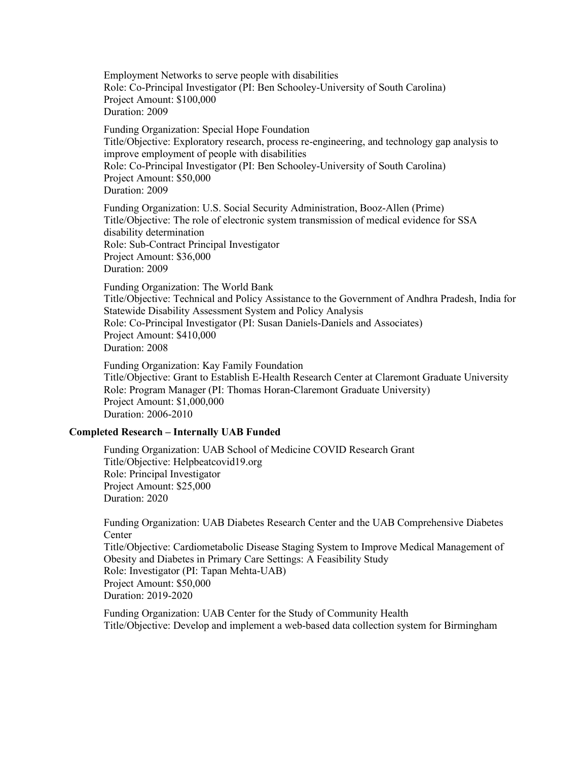Employment Networks to serve people with disabilities Role: Co-Principal Investigator (PI: Ben Schooley-University of South Carolina) Project Amount: \$100,000 Duration: 2009

Funding Organization: Special Hope Foundation Title/Objective: Exploratory research, process re-engineering, and technology gap analysis to improve employment of people with disabilities Role: Co-Principal Investigator (PI: Ben Schooley-University of South Carolina) Project Amount: \$50,000 Duration: 2009

Funding Organization: U.S. Social Security Administration, Booz-Allen (Prime) Title/Objective: The role of electronic system transmission of medical evidence for SSA disability determination Role: Sub-Contract Principal Investigator Project Amount: \$36,000 Duration: 2009

Funding Organization: The World Bank Title/Objective: Technical and Policy Assistance to the Government of Andhra Pradesh, India for Statewide Disability Assessment System and Policy Analysis Role: Co-Principal Investigator (PI: Susan Daniels-Daniels and Associates) Project Amount: \$410,000 Duration: 2008

Funding Organization: Kay Family Foundation Title/Objective: Grant to Establish E-Health Research Center at Claremont Graduate University Role: Program Manager (PI: Thomas Horan-Claremont Graduate University) Project Amount: \$1,000,000 Duration: 2006-2010

#### **Completed Research – Internally UAB Funded**

Funding Organization: UAB School of Medicine COVID Research Grant Title/Objective: Helpbeatcovid19.org Role: Principal Investigator Project Amount: \$25,000 Duration: 2020

Funding Organization: UAB Diabetes Research Center and the UAB Comprehensive Diabetes Center

Title/Objective: Cardiometabolic Disease Staging System to Improve Medical Management of Obesity and Diabetes in Primary Care Settings: A Feasibility Study Role: Investigator (PI: Tapan Mehta-UAB) Project Amount: \$50,000 Duration: 2019-2020

Funding Organization: UAB Center for the Study of Community Health Title/Objective: Develop and implement a web-based data collection system for Birmingham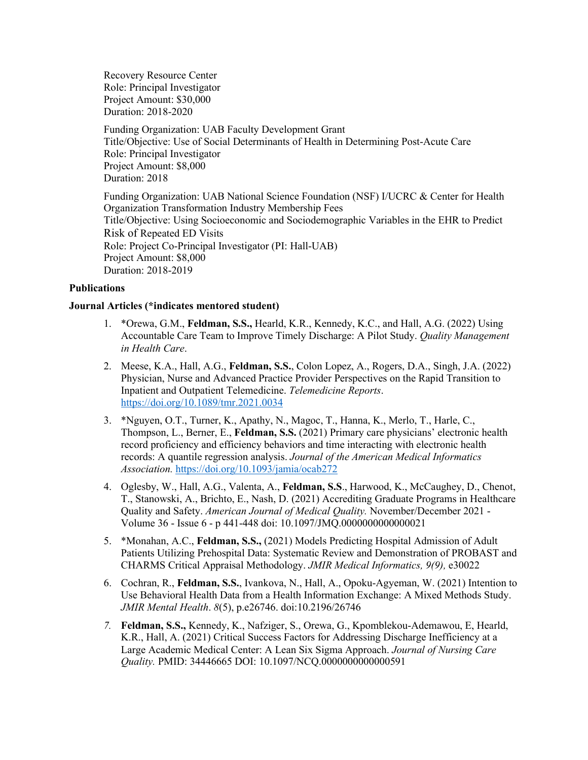Recovery Resource Center Role: Principal Investigator Project Amount: \$30,000 Duration: 2018-2020

Funding Organization: UAB Faculty Development Grant Title/Objective: Use of Social Determinants of Health in Determining Post-Acute Care Role: Principal Investigator Project Amount: \$8,000 Duration: 2018

Funding Organization: UAB National Science Foundation (NSF) I/UCRC & Center for Health Organization Transformation Industry Membership Fees Title/Objective: Using Socioeconomic and Sociodemographic Variables in the EHR to Predict Risk of Repeated ED Visits Role: Project Co-Principal Investigator (PI: Hall-UAB) Project Amount: \$8,000 Duration: 2018-2019

### **Publications**

#### **Journal Articles (\*indicates mentored student)**

- 1. \*Orewa, G.M., **Feldman, S.S.,** Hearld, K.R., Kennedy, K.C., and Hall, A.G. (2022) Using Accountable Care Team to Improve Timely Discharge: A Pilot Study. *Quality Management in Health Care*.
- 2. Meese, K.A., Hall, A.G., **Feldman, S.S.**, Colon Lopez, A., Rogers, D.A., Singh, J.A. (2022) Physician, Nurse and Advanced Practice Provider Perspectives on the Rapid Transition to Inpatient and Outpatient Telemedicine. *Telemedicine Reports*. <https://doi.org/10.1089/tmr.2021.0034>
- 3. \*Nguyen, O.T., Turner, K., Apathy, N., Magoc, T., Hanna, K., Merlo, T., Harle, C., Thompson, L., Berner, E., **Feldman, S.S.** (2021) Primary care physicians' electronic health record proficiency and efficiency behaviors and time interacting with electronic health records: A quantile regression analysis. *Journal of the American Medical Informatics Association.* <https://doi.org/10.1093/jamia/ocab272>
- 4. Oglesby, W., Hall, A.G., Valenta, A., **Feldman, S.S**., Harwood, K., McCaughey, D., Chenot, T., Stanowski, A., Brichto, E., Nash, D. (2021) Accrediting Graduate Programs in Healthcare Quality and Safety. *American Journal of Medical Quality.* November/December 2021 - Volume 36 - Issue 6 - p 441-448 doi: 10.1097/JMQ.0000000000000021
- 5. \*Monahan, A.C., **Feldman, S.S.,** (2021) Models Predicting Hospital Admission of Adult Patients Utilizing Prehospital Data: Systematic Review and Demonstration of PROBAST and CHARMS Critical Appraisal Methodology. *JMIR Medical Informatics, 9(9),* e30022
- 6. Cochran, R., **Feldman, S.S.**, Ivankova, N., Hall, A., Opoku-Agyeman, W. (2021) Intention to Use Behavioral Health Data from a Health Information Exchange: A Mixed Methods Study. *JMIR Mental Health*. *8*(5), p.e26746. doi:10.2196/26746
- *7.* **Feldman, S.S.,** Kennedy, K., Nafziger, S., Orewa, G., Kpomblekou-Ademawou, E, Hearld, K.R., Hall, A. (2021) Critical Success Factors for Addressing Discharge Inefficiency at a Large Academic Medical Center: A Lean Six Sigma Approach. *Journal of Nursing Care Quality.* PMID: 34446665 DOI: 10.1097/NCQ.0000000000000591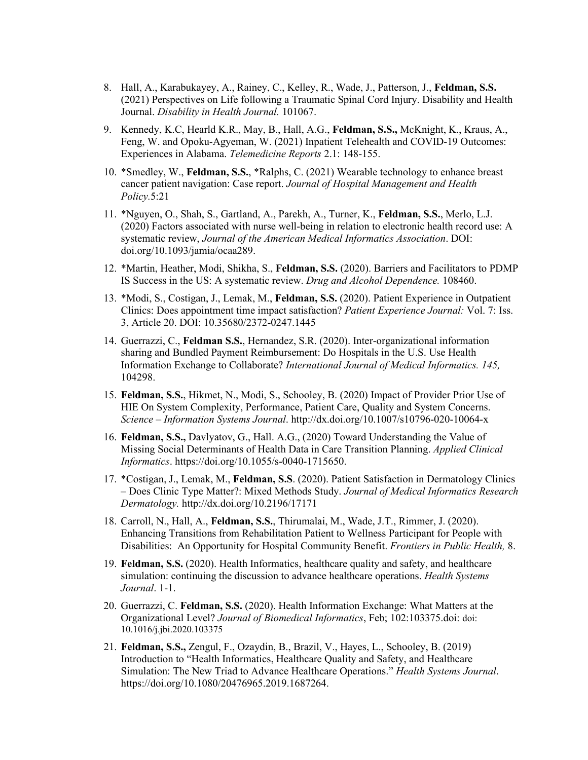- 8. Hall, A., Karabukayey, A., Rainey, C., Kelley, R., Wade, J., Patterson, J., **Feldman, S.S.** (2021) Perspectives on Life following a Traumatic Spinal Cord Injury. Disability and Health Journal. *Disability in Health Journal.* 101067.
- 9. Kennedy, K.C, Hearld K.R., May, B., Hall, A.G., **Feldman, S.S.,** McKnight, K., Kraus, A., Feng, W. and Opoku-Agyeman, W. (2021) Inpatient Telehealth and COVID-19 Outcomes: Experiences in Alabama. *Telemedicine Reports* 2.1: 148-155.
- 10. \*Smedley, W., **Feldman, S.S.**, \*Ralphs, C. (2021) Wearable technology to enhance breast cancer patient navigation: Case report. *Journal of Hospital Management and Health Policy.*5:21
- 11. \*Nguyen, O., Shah, S., Gartland, A., Parekh, A., Turner, K., **Feldman, S.S.**, Merlo, L.J. (2020) Factors associated with nurse well-being in relation to electronic health record use: A systematic review, *Journal of the American Medical Informatics Association*. DOI: doi.org/10.1093/jamia/ocaa289.
- 12. \*Martin, Heather, Modi, Shikha, S., **Feldman, S.S.** (2020). Barriers and Facilitators to PDMP IS Success in the US: A systematic review. *Drug and Alcohol Dependence.* 108460.
- 13. \*Modi, S., Costigan, J., Lemak, M., **Feldman, S.S.** (2020). Patient Experience in Outpatient Clinics: Does appointment time impact satisfaction? *Patient Experience Journal:* Vol. 7: Iss. 3, Article 20. DOI: 10.35680/2372-0247.1445
- 14. Guerrazzi, C., **Feldman S.S.**, Hernandez, S.R. (2020). Inter-organizational information sharing and Bundled Payment Reimbursement: Do Hospitals in the U.S. Use Health Information Exchange to Collaborate? *International Journal of Medical Informatics. 145,*  104298.
- 15. **Feldman, S.S.**, Hikmet, N., Modi, S., Schooley, B. (2020) Impact of Provider Prior Use of HIE On System Complexity, Performance, Patient Care, Quality and System Concerns. *Science – Information Systems Journal*. http://dx.doi.org/10.1007/s10796-020-10064-x
- 16. **Feldman, S.S.,** Davlyatov, G., Hall. A.G., (2020) Toward Understanding the Value of Missing Social Determinants of Health Data in Care Transition Planning. *Applied Clinical Informatics*. https://doi.org/10.1055/s-0040-1715650.
- 17. \*Costigan, J., Lemak, M., **Feldman, S.S**. (2020). Patient Satisfaction in Dermatology Clinics – Does Clinic Type Matter?: Mixed Methods Study. *Journal of Medical Informatics Research Dermatology.* http://dx.doi.org/10.2196/17171
- 18. Carroll, N., Hall, A., **Feldman, S.S.**, Thirumalai, M., Wade, J.T., Rimmer, J. (2020). Enhancing Transitions from Rehabilitation Patient to Wellness Participant for People with Disabilities: An Opportunity for Hospital Community Benefit. *Frontiers in Public Health,* 8.
- 19. **Feldman, S.S.** (2020). Health Informatics, healthcare quality and safety, and healthcare simulation: continuing the discussion to advance healthcare operations. *Health Systems Journal*. 1-1.
- 20. Guerrazzi, C. **Feldman, S.S.** (2020). Health Information Exchange: What Matters at the Organizational Level? *Journal of Biomedical Informatics*, Feb; 102:103375.doi: doi: 10.1016/j.jbi.2020.103375
- 21. **Feldman, S.S.,** Zengul, F., Ozaydin, B., Brazil, V., Hayes, L., Schooley, B. (2019) Introduction to "Health Informatics, Healthcare Quality and Safety, and Healthcare Simulation: The New Triad to Advance Healthcare Operations." *Health Systems Journal*. https://doi.org/10.1080/20476965.2019.1687264.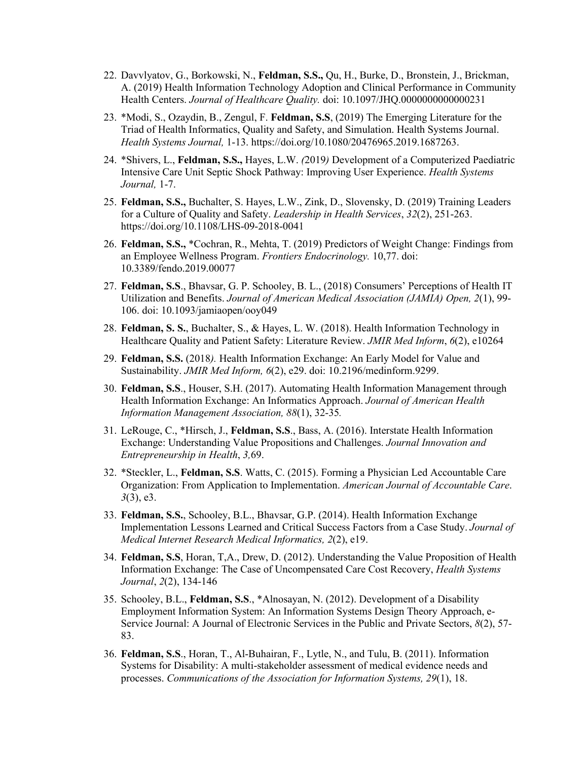- 22. Davvlyatov, G., Borkowski, N., **Feldman, S.S.,** Qu, H., Burke, D., Bronstein, J., Brickman, A. (2019) Health Information Technology Adoption and Clinical Performance in Community Health Centers. *Journal of Healthcare Quality.* doi: 10.1097/JHQ.0000000000000231
- 23. \*Modi, S., Ozaydin, B., Zengul, F. **Feldman, S.S**, (2019) The Emerging Literature for the Triad of Health Informatics, Quality and Safety, and Simulation. Health Systems Journal. *Health Systems Journal,* 1-13. https://doi.org/10.1080/20476965.2019.1687263.
- 24. \*Shivers, L., **Feldman, S.S.,** Hayes, L.W. *(*2019*)* Development of a Computerized Paediatric Intensive Care Unit Septic Shock Pathway: Improving User Experience. *Health Systems Journal,* 1-7.
- 25. **Feldman, S.S.,** Buchalter, S. Hayes, L.W., Zink, D., Slovensky, D. (2019) Training Leaders for a Culture of Quality and Safety. *Leadership in Health Services*, *32*(2), 251-263. https://doi.org/10.1108/LHS-09-2018-0041
- 26. **Feldman, S.S.,** \*Cochran, R., Mehta, T. (2019) Predictors of Weight Change: Findings from an Employee Wellness Program. *Frontiers Endocrinology.* 10,77. doi: 10.3389/fendo.2019.00077
- 27. **Feldman, S.S**., Bhavsar, G. P. Schooley, B. L., (2018) Consumers' Perceptions of Health IT Utilization and Benefits. *Journal of American Medical Association (JAMIA) Open, 2*(1), 99- 106. doi: 10.1093/jamiaopen/ooy049
- 28. **Feldman, S. S.**, Buchalter, S., & Hayes, L. W. (2018). Health Information Technology in Healthcare Quality and Patient Safety: Literature Review. *JMIR Med Inform*, *6*(2), e10264
- 29. **Feldman, S.S.** (2018*).* Health Information Exchange: An Early Model for Value and Sustainability. *JMIR Med Inform, 6*(2), e29. doi: 10.2196/medinform.9299.
- 30. **Feldman, S.S**., Houser, S.H. (2017). Automating Health Information Management through Health Information Exchange: An Informatics Approach. *Journal of American Health Information Management Association, 88*(1), 32-35*.*
- 31. LeRouge, C., \*Hirsch, J., **Feldman, S.S**., Bass, A. (2016). Interstate Health Information Exchange: Understanding Value Propositions and Challenges. *Journal Innovation and Entrepreneurship in Health*, *3,*69.
- 32. \*Steckler, L., **Feldman, S.S**. Watts, C. (2015). Forming a Physician Led Accountable Care Organization: From Application to Implementation. *American Journal of Accountable Care*. *3*(3), e3.
- 33. **Feldman, S.S.**, Schooley, B.L., Bhavsar, G.P. (2014). Health Information Exchange Implementation Lessons Learned and Critical Success Factors from a Case Study. *Journal of Medical Internet Research Medical Informatics, 2*(2), e19.
- 34. **Feldman, S.S**, Horan, T,A., Drew, D. (2012). Understanding the Value Proposition of Health Information Exchange: The Case of Uncompensated Care Cost Recovery, *Health Systems Journal*, *2*(2), 134-146
- 35. Schooley, B.L., **Feldman, S.S**., \*Alnosayan, N. (2012). Development of a Disability Employment Information System: An Information Systems Design Theory Approach, e-Service Journal: A Journal of Electronic Services in the Public and Private Sectors, *8*(2), 57- 83.
- 36. **Feldman, S.S**., Horan, T., Al-Buhairan, F., Lytle, N., and Tulu, B. (2011). Information Systems for Disability: A multi-stakeholder assessment of medical evidence needs and processes. *Communications of the Association for Information Systems, 29*(1), 18.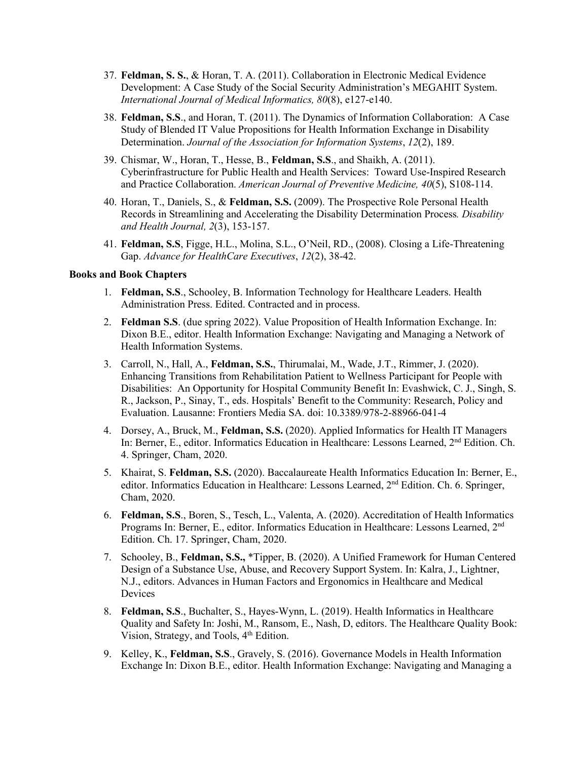- 37. **Feldman, S. S.**, & Horan, T. A. (2011). Collaboration in Electronic Medical Evidence Development: A Case Study of the Social Security Administration's MEGAHIT System. *International Journal of Medical Informatics, 80*(8), e127-e140.
- 38. **Feldman, S.S**., and Horan, T. (2011). The Dynamics of Information Collaboration: A Case Study of Blended IT Value Propositions for Health Information Exchange in Disability Determination. *Journal of the Association for Information Systems*, *12*(2), 189.
- 39. Chismar, W., Horan, T., Hesse, B., **Feldman, S.S**., and Shaikh, A. (2011). Cyberinfrastructure for Public Health and Health Services: Toward Use-Inspired Research and Practice Collaboration. *American Journal of Preventive Medicine, 40*(5), S108-114.
- 40. Horan, T., Daniels, S., & **Feldman, S.S.** (2009). The Prospective Role Personal Health Records in Streamlining and Accelerating the Disability Determination Process*. Disability and Health Journal, 2*(3), 153-157.
- 41. **Feldman, S.S**, Figge, H.L., Molina, S.L., O'Neil, RD., (2008). Closing a Life-Threatening Gap. *Advance for HealthCare Executives*, *12*(2), 38-42.

## **Books and Book Chapters**

- 1. **Feldman, S.S.**, Schooley, B. Information Technology for Healthcare Leaders. Health Administration Press. Edited. Contracted and in process.
- 2. **Feldman S.S**. (due spring 2022). Value Proposition of Health Information Exchange. In: Dixon B.E., editor. Health Information Exchange: Navigating and Managing a Network of Health Information Systems.
- 3. Carroll, N., Hall, A., **Feldman, S.S.**, Thirumalai, M., Wade, J.T., Rimmer, J. (2020). Enhancing Transitions from Rehabilitation Patient to Wellness Participant for People with Disabilities: An Opportunity for Hospital Community Benefit In: Evashwick, C. J., Singh, S. R., Jackson, P., Sinay, T., eds. Hospitals' Benefit to the Community: Research, Policy and Evaluation. Lausanne: Frontiers Media SA. doi: 10.3389/978-2-88966-041-4
- 4. Dorsey, A., Bruck, M., **Feldman, S.S.** (2020). Applied Informatics for Health IT Managers In: Berner, E., editor. Informatics Education in Healthcare: Lessons Learned, 2nd Edition. Ch. 4. Springer, Cham, 2020.
- 5. Khairat, S. **Feldman, S.S.** (2020). Baccalaureate Health Informatics Education In: Berner, E., editor. Informatics Education in Healthcare: Lessons Learned, 2nd Edition. Ch. 6. Springer, Cham, 2020.
- 6. **Feldman, S.S**., Boren, S., Tesch, L., Valenta, A. (2020). Accreditation of Health Informatics Programs In: Berner, E., editor. Informatics Education in Healthcare: Lessons Learned, 2nd Edition. Ch. 17. Springer, Cham, 2020.
- 7. Schooley, B., **Feldman, S.S.,** \*Tipper, B. (2020). A Unified Framework for Human Centered Design of a Substance Use, Abuse, and Recovery Support System. In: Kalra, J., Lightner, N.J., editors. Advances in Human Factors and Ergonomics in Healthcare and Medical Devices
- 8. **Feldman, S.S**., Buchalter, S., Hayes-Wynn, L. (2019). Health Informatics in Healthcare Quality and Safety In: Joshi, M., Ransom, E., Nash, D, editors. The Healthcare Quality Book: Vision, Strategy, and Tools, 4<sup>th</sup> Edition.
- 9. Kelley, K., **Feldman, S.S**., Gravely, S. (2016). Governance Models in Health Information Exchange In: Dixon B.E., editor. Health Information Exchange: Navigating and Managing a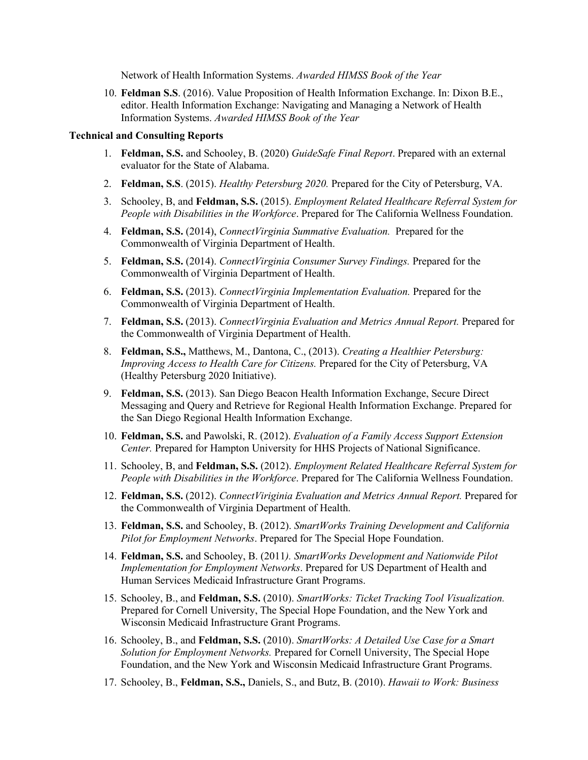Network of Health Information Systems. *Awarded HIMSS Book of the Year*

10. **Feldman S.S**. (2016). Value Proposition of Health Information Exchange. In: Dixon B.E., editor. Health Information Exchange: Navigating and Managing a Network of Health Information Systems. *Awarded HIMSS Book of the Year*

### **Technical and Consulting Reports**

- 1. **Feldman, S.S.** and Schooley, B. (2020) *GuideSafe Final Report*. Prepared with an external evaluator for the State of Alabama.
- 2. **Feldman, S.S**. (2015). *Healthy Petersburg 2020.* Prepared for the City of Petersburg, VA.
- 3. Schooley, B, and **Feldman, S.S.** (2015). *Employment Related Healthcare Referral System for People with Disabilities in the Workforce*. Prepared for The California Wellness Foundation.
- 4. **Feldman, S.S.** (2014), *ConnectVirginia Summative Evaluation.* Prepared for the Commonwealth of Virginia Department of Health.
- 5. **Feldman, S.S.** (2014). *ConnectVirginia Consumer Survey Findings.* Prepared for the Commonwealth of Virginia Department of Health.
- 6. **Feldman, S.S.** (2013). *ConnectVirginia Implementation Evaluation.* Prepared for the Commonwealth of Virginia Department of Health.
- 7. **Feldman, S.S.** (2013). *ConnectVirginia Evaluation and Metrics Annual Report.* Prepared for the Commonwealth of Virginia Department of Health.
- 8. **Feldman, S.S.,** Matthews, M., Dantona, C., (2013). *Creating a Healthier Petersburg: Improving Access to Health Care for Citizens.* Prepared for the City of Petersburg, VA (Healthy Petersburg 2020 Initiative).
- 9. **Feldman, S.S.** (2013). San Diego Beacon Health Information Exchange, Secure Direct Messaging and Query and Retrieve for Regional Health Information Exchange. Prepared for the San Diego Regional Health Information Exchange.
- 10. **Feldman, S.S.** and Pawolski, R. (2012). *Evaluation of a Family Access Support Extension Center.* Prepared for Hampton University for HHS Projects of National Significance.
- 11. Schooley, B, and **Feldman, S.S.** (2012). *Employment Related Healthcare Referral System for People with Disabilities in the Workforce*. Prepared for The California Wellness Foundation.
- 12. **Feldman, S.S.** (2012). *ConnectViriginia Evaluation and Metrics Annual Report.* Prepared for the Commonwealth of Virginia Department of Health.
- 13. **Feldman, S.S.** and Schooley, B. (2012). *SmartWorks Training Development and California Pilot for Employment Networks*. Prepared for The Special Hope Foundation.
- 14. **Feldman, S.S.** and Schooley, B. (2011*). SmartWorks Development and Nationwide Pilot Implementation for Employment Networks*. Prepared for US Department of Health and Human Services Medicaid Infrastructure Grant Programs.
- 15. Schooley, B., and **Feldman, S.S.** (2010). *SmartWorks: Ticket Tracking Tool Visualization.* Prepared for Cornell University, The Special Hope Foundation, and the New York and Wisconsin Medicaid Infrastructure Grant Programs.
- 16. Schooley, B., and **Feldman, S.S.** (2010). *SmartWorks: A Detailed Use Case for a Smart Solution for Employment Networks.* Prepared for Cornell University, The Special Hope Foundation, and the New York and Wisconsin Medicaid Infrastructure Grant Programs.
- 17. Schooley, B., **Feldman, S.S.,** Daniels, S., and Butz, B. (2010). *Hawaii to Work: Business*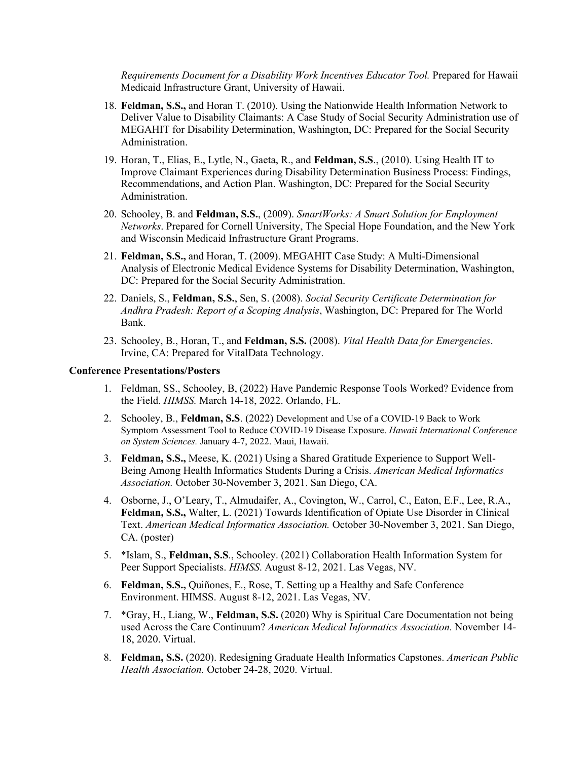*Requirements Document for a Disability Work Incentives Educator Tool.* Prepared for Hawaii Medicaid Infrastructure Grant, University of Hawaii.

- 18. **Feldman, S.S.,** and Horan T. (2010). Using the Nationwide Health Information Network to Deliver Value to Disability Claimants: A Case Study of Social Security Administration use of MEGAHIT for Disability Determination, Washington, DC: Prepared for the Social Security Administration.
- 19. Horan, T., Elias, E., Lytle, N., Gaeta, R., and **Feldman, S.S**., (2010). Using Health IT to Improve Claimant Experiences during Disability Determination Business Process: Findings, Recommendations, and Action Plan. Washington, DC: Prepared for the Social Security Administration.
- 20. Schooley, B. and **Feldman, S.S.**, (2009). *SmartWorks: A Smart Solution for Employment Networks*. Prepared for Cornell University, The Special Hope Foundation, and the New York and Wisconsin Medicaid Infrastructure Grant Programs.
- 21. **Feldman, S.S.,** and Horan, T. (2009). MEGAHIT Case Study: A Multi-Dimensional Analysis of Electronic Medical Evidence Systems for Disability Determination, Washington, DC: Prepared for the Social Security Administration.
- 22. Daniels, S., **Feldman, S.S.**, Sen, S. (2008). *Social Security Certificate Determination for Andhra Pradesh: Report of a Scoping Analysis*, Washington, DC: Prepared for The World Bank.
- 23. Schooley, B., Horan, T., and **Feldman, S.S.** (2008). *Vital Health Data for Emergencies*. Irvine, CA: Prepared for VitalData Technology.

### **Conference Presentations/Posters**

- 1. Feldman, SS., Schooley, B, (2022) Have Pandemic Response Tools Worked? Evidence from the Field. *HIMSS.* March 14-18, 2022. Orlando, FL.
- 2. Schooley, B., **Feldman, S.S**. (2022) Development and Use of a COVID-19 Back to Work Symptom Assessment Tool to Reduce COVID-19 Disease Exposure. *Hawaii International Conference on System Sciences.* January 4-7, 2022. Maui, Hawaii.
- 3. **Feldman, S.S.,** Meese, K. (2021) Using a Shared Gratitude Experience to Support Well-Being Among Health Informatics Students During a Crisis. *American Medical Informatics Association.* October 30-November 3, 2021. San Diego, CA.
- 4. Osborne, J., O'Leary, T., Almudaifer, A., Covington, W., Carrol, C., Eaton, E.F., Lee, R.A., **Feldman, S.S.,** Walter, L. (2021) Towards Identification of Opiate Use Disorder in Clinical Text. *American Medical Informatics Association.* October 30-November 3, 2021. San Diego, CA. (poster)
- 5. \*Islam, S., **Feldman, S.S**., Schooley. (2021) Collaboration Health Information System for Peer Support Specialists. *HIMSS*. August 8-12, 2021. Las Vegas, NV.
- 6. **Feldman, S.S.,** Quiñones, E., Rose, T. Setting up a Healthy and Safe Conference Environment. HIMSS. August 8-12, 2021. Las Vegas, NV.
- 7. \*Gray, H., Liang, W., **Feldman, S.S.** (2020) Why is Spiritual Care Documentation not being used Across the Care Continuum? *American Medical Informatics Association.* November 14- 18, 2020. Virtual.
- 8. **Feldman, S.S.** (2020). Redesigning Graduate Health Informatics Capstones. *American Public Health Association.* October 24-28, 2020. Virtual.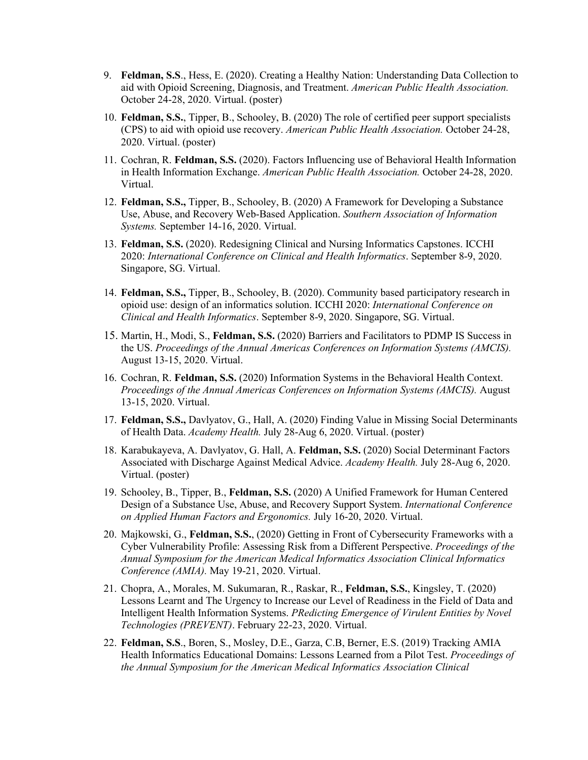- 9. **Feldman, S.S**., Hess, E. (2020). Creating a Healthy Nation: Understanding Data Collection to aid with Opioid Screening, Diagnosis, and Treatment. *American Public Health Association.* October 24-28, 2020. Virtual. (poster)
- 10. **Feldman, S.S.**, Tipper, B., Schooley, B. (2020) The role of certified peer support specialists (CPS) to aid with opioid use recovery. *American Public Health Association.* October 24-28, 2020. Virtual. (poster)
- 11. Cochran, R. **Feldman, S.S.** (2020). Factors Influencing use of Behavioral Health Information in Health Information Exchange. *American Public Health Association.* October 24-28, 2020. Virtual.
- 12. **Feldman, S.S.,** Tipper, B., Schooley, B. (2020) A Framework for Developing a Substance Use, Abuse, and Recovery Web-Based Application. *Southern Association of Information Systems.* September 14-16, 2020. Virtual.
- 13. **Feldman, S.S.** (2020). Redesigning Clinical and Nursing Informatics Capstones. ICCHI 2020: *International Conference on Clinical and Health Informatics*. September 8-9, 2020. Singapore, SG. Virtual.
- 14. **Feldman, S.S.,** Tipper, B., Schooley, B. (2020). Community based participatory research in opioid use: design of an informatics solution. ICCHI 2020: *International Conference on Clinical and Health Informatics*. September 8-9, 2020. Singapore, SG. Virtual.
- 15. Martin, H., Modi, S., **Feldman, S.S.** (2020) Barriers and Facilitators to PDMP IS Success in the US. *Proceedings of the Annual Americas Conferences on Information Systems (AMCIS).*  August 13-15, 2020. Virtual.
- 16. Cochran, R. **Feldman, S.S.** (2020) Information Systems in the Behavioral Health Context. *Proceedings of the Annual Americas Conferences on Information Systems (AMCIS).* August 13-15, 2020. Virtual.
- 17. **Feldman, S.S.,** Davlyatov, G., Hall, A. (2020) Finding Value in Missing Social Determinants of Health Data. *Academy Health.* July 28-Aug 6, 2020. Virtual. (poster)
- 18. Karabukayeva, A. Davlyatov, G. Hall, A. **Feldman, S.S.** (2020) Social Determinant Factors Associated with Discharge Against Medical Advice. *Academy Health.* July 28-Aug 6, 2020. Virtual. (poster)
- 19. Schooley, B., Tipper, B., **Feldman, S.S.** (2020) A Unified Framework for Human Centered Design of a Substance Use, Abuse, and Recovery Support System. *International Conference on Applied Human Factors and Ergonomics.* July 16-20, 2020. Virtual.
- 20. Majkowski, G., **Feldman, S.S.**, (2020) Getting in Front of Cybersecurity Frameworks with a Cyber Vulnerability Profile: Assessing Risk from a Different Perspective. *Proceedings of the Annual Symposium for the American Medical Informatics Association Clinical Informatics Conference (AMIA).* May 19-21, 2020. Virtual.
- 21. Chopra, A., Morales, M. Sukumaran, R., Raskar, R., **Feldman, S.S.**, Kingsley, T. (2020) Lessons Learnt and The Urgency to Increase our Level of Readiness in the Field of Data and Intelligent Health Information Systems. *PRedicting Emergence of Virulent Entities by Novel Technologies (PREVENT)*. February 22-23, 2020. Virtual.
- 22. **Feldman, S.S**., Boren, S., Mosley, D.E., Garza, C.B, Berner, E.S. (2019) Tracking AMIA Health Informatics Educational Domains: Lessons Learned from a Pilot Test. *Proceedings of the Annual Symposium for the American Medical Informatics Association Clinical*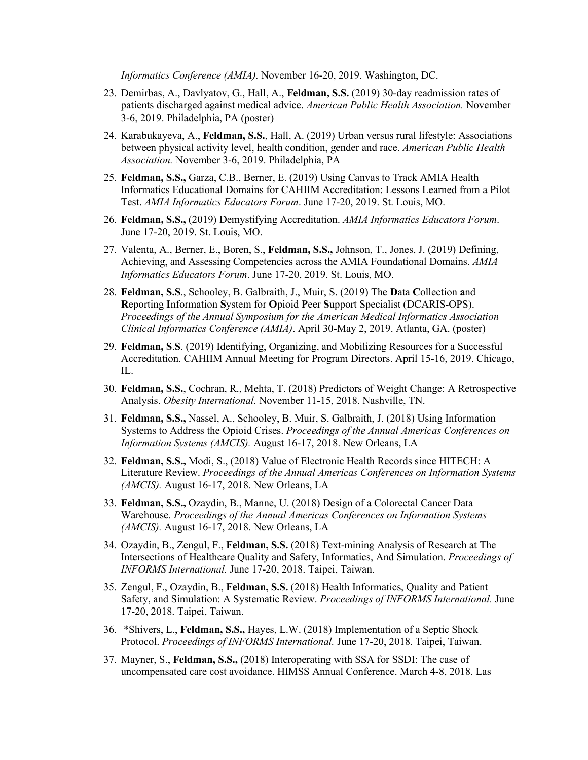*Informatics Conference (AMIA).* November 16-20, 2019. Washington, DC.

- 23. Demirbas, A., Davlyatov, G., Hall, A., **Feldman, S.S.** (2019) 30-day readmission rates of patients discharged against medical advice. *American Public Health Association.* November 3-6, 2019. Philadelphia, PA (poster)
- 24. Karabukayeva, A., **Feldman, S.S.**, Hall, A. (2019) Urban versus rural lifestyle: Associations between physical activity level, health condition, gender and race. *American Public Health Association.* November 3-6, 2019. Philadelphia, PA
- 25. **Feldman, S.S.,** Garza, C.B., Berner, E. (2019) Using Canvas to Track AMIA Health Informatics Educational Domains for CAHIIM Accreditation: Lessons Learned from a Pilot Test. *AMIA Informatics Educators Forum*. June 17-20, 2019. St. Louis, MO.
- 26. **Feldman, S.S.,** (2019) Demystifying Accreditation. *AMIA Informatics Educators Forum*. June 17-20, 2019. St. Louis, MO.
- 27. Valenta, A., Berner, E., Boren, S., **Feldman, S.S.,** Johnson, T., Jones, J. (2019) Defining, Achieving, and Assessing Competencies across the AMIA Foundational Domains. *AMIA Informatics Educators Forum*. June 17-20, 2019. St. Louis, MO.
- 28. **Feldman, S.S**., Schooley, B. Galbraith, J., Muir, S. (2019) The **D**ata **C**ollection **a**nd **R**eporting **I**nformation **S**ystem for **O**pioid **P**eer **S**upport Specialist (DCARIS-OPS). *Proceedings of the Annual Symposium for the American Medical Informatics Association Clinical Informatics Conference (AMIA)*. April 30-May 2, 2019. Atlanta, GA. (poster)
- 29. **Feldman, S**.**S**. (2019) Identifying, Organizing, and Mobilizing Resources for a Successful Accreditation. CAHIIM Annual Meeting for Program Directors. April 15-16, 2019. Chicago, IL.
- 30. **Feldman, S.S.**, Cochran, R., Mehta, T. (2018) Predictors of Weight Change: A Retrospective Analysis. *Obesity International.* November 11-15, 2018. Nashville, TN.
- 31. **Feldman, S.S.,** Nassel, A., Schooley, B. Muir, S. Galbraith, J. (2018) Using Information Systems to Address the Opioid Crises. *Proceedings of the Annual Americas Conferences on Information Systems (AMCIS).* August 16-17, 2018. New Orleans, LA
- 32. **Feldman, S.S.,** Modi, S., (2018) Value of Electronic Health Records since HITECH: A Literature Review. *Proceedings of the Annual Americas Conferences on Information Systems (AMCIS).* August 16-17, 2018. New Orleans, LA
- 33. **Feldman, S.S.,** Ozaydin, B., Manne, U. (2018) Design of a Colorectal Cancer Data Warehouse. *Proceedings of the Annual Americas Conferences on Information Systems (AMCIS).* August 16-17, 2018. New Orleans, LA
- 34. Ozaydin, B., Zengul, F., **Feldman, S.S.** (2018) Text-mining Analysis of Research at The Intersections of Healthcare Quality and Safety, Informatics, And Simulation. *Proceedings of INFORMS International.* June 17-20, 2018. Taipei, Taiwan.
- 35. Zengul, F., Ozaydin, B., **Feldman, S.S.** (2018) Health Informatics, Quality and Patient Safety, and Simulation: A Systematic Review. *Proceedings of INFORMS International.* June 17-20, 2018. Taipei, Taiwan.
- 36. \*Shivers, L., **Feldman, S.S.,** Hayes, L.W. (2018) Implementation of a Septic Shock Protocol. *Proceedings of INFORMS International.* June 17-20, 2018. Taipei, Taiwan.
- 37. Mayner, S., **Feldman, S.S.,** (2018) Interoperating with SSA for SSDI: The case of uncompensated care cost avoidance. HIMSS Annual Conference. March 4-8, 2018. Las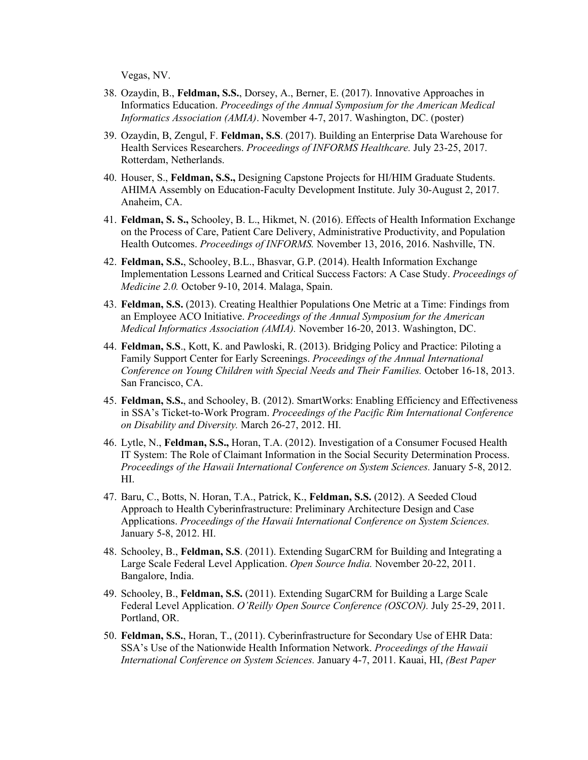Vegas, NV.

- 38. Ozaydin, B., **Feldman, S.S.**, Dorsey, A., Berner, E. (2017). Innovative Approaches in Informatics Education. *Proceedings of the Annual Symposium for the American Medical Informatics Association (AMIA)*. November 4-7, 2017. Washington, DC. (poster)
- 39. Ozaydin, B, Zengul, F. **Feldman, S.S**. (2017). Building an Enterprise Data Warehouse for Health Services Researchers. *Proceedings of INFORMS Healthcare.* July 23-25, 2017. Rotterdam, Netherlands.
- 40. Houser, S., **Feldman, S.S.,** Designing Capstone Projects for HI/HIM Graduate Students. AHIMA Assembly on Education-Faculty Development Institute. July 30-August 2, 2017. Anaheim, CA.
- 41. **Feldman, S. S.,** Schooley, B. L., Hikmet, N. (2016). Effects of Health Information Exchange on the Process of Care, Patient Care Delivery, Administrative Productivity, and Population Health Outcomes. *Proceedings of INFORMS.* November 13, 2016, 2016. Nashville, TN.
- 42. **Feldman, S.S.**, Schooley, B.L., Bhasvar, G.P. (2014). Health Information Exchange Implementation Lessons Learned and Critical Success Factors: A Case Study. *Proceedings of Medicine 2.0.* October 9-10, 2014. Malaga, Spain.
- 43. **Feldman, S.S.** (2013). Creating Healthier Populations One Metric at a Time: Findings from an Employee ACO Initiative. *Proceedings of the Annual Symposium for the American Medical Informatics Association (AMIA).* November 16-20, 2013. Washington, DC.
- 44. **Feldman, S.S**., Kott, K. and Pawloski, R. (2013). Bridging Policy and Practice: Piloting a Family Support Center for Early Screenings. *Proceedings of the Annual International Conference on Young Children with Special Needs and Their Families.* October 16-18, 2013. San Francisco, CA.
- 45. **Feldman, S.S.**, and Schooley, B. (2012). SmartWorks: Enabling Efficiency and Effectiveness in SSA's Ticket-to-Work Program. *Proceedings of the Pacific Rim International Conference on Disability and Diversity.* March 26-27, 2012. HI.
- 46. Lytle, N., **Feldman, S.S.,** Horan, T.A. (2012). Investigation of a Consumer Focused Health IT System: The Role of Claimant Information in the Social Security Determination Process. *Proceedings of the Hawaii International Conference on System Sciences.* January 5-8, 2012. HI.
- 47. Baru, C., Botts, N. Horan, T.A., Patrick, K., **Feldman, S.S.** (2012). A Seeded Cloud Approach to Health Cyberinfrastructure: Preliminary Architecture Design and Case Applications. *Proceedings of the Hawaii International Conference on System Sciences.* January 5-8, 2012. HI.
- 48. Schooley, B., **Feldman, S.S**. (2011). Extending SugarCRM for Building and Integrating a Large Scale Federal Level Application. *Open Source India.* November 20-22, 2011. Bangalore, India.
- 49. Schooley, B., **Feldman, S.S.** (2011). Extending SugarCRM for Building a Large Scale Federal Level Application. *O'Reilly Open Source Conference (OSCON).* July 25-29, 2011. Portland, OR.
- 50. **Feldman, S.S.**, Horan, T., (2011). Cyberinfrastructure for Secondary Use of EHR Data: SSA's Use of the Nationwide Health Information Network. *Proceedings of the Hawaii International Conference on System Sciences.* January 4-7, 2011. Kauai, HI, *(Best Paper*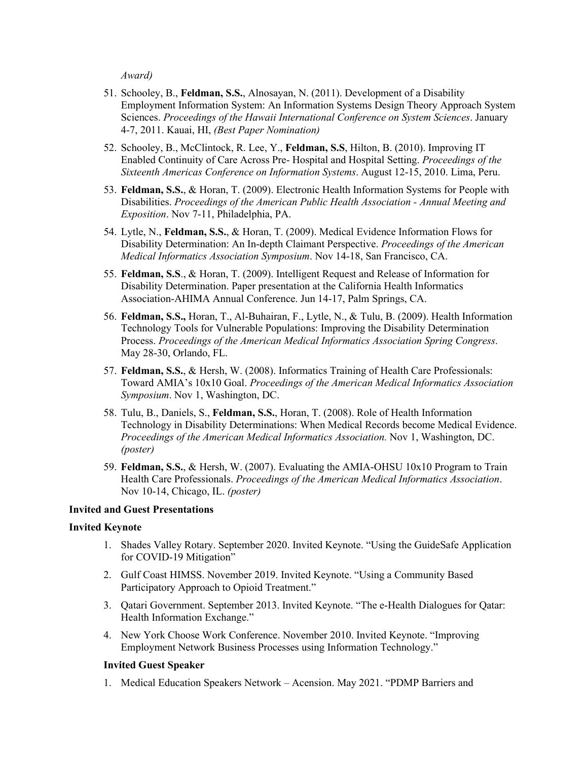*Award)*

- 51. Schooley, B., **Feldman, S.S.**, Alnosayan, N. (2011). Development of a Disability Employment Information System: An Information Systems Design Theory Approach System Sciences. *Proceedings of the Hawaii International Conference on System Sciences*. January 4-7, 2011. Kauai, HI, *(Best Paper Nomination)*
- 52. Schooley, B., McClintock, R. Lee, Y., **Feldman, S.S**, Hilton, B. (2010). Improving IT Enabled Continuity of Care Across Pre- Hospital and Hospital Setting. *Proceedings of the Sixteenth Americas Conference on Information Systems*. August 12-15, 2010. Lima, Peru.
- 53. **Feldman, S.S.**, & Horan, T. (2009). Electronic Health Information Systems for People with Disabilities. *Proceedings of the American Public Health Association - Annual Meeting and Exposition*. Nov 7-11, Philadelphia, PA.
- 54. Lytle, N., **Feldman, S.S.**, & Horan, T. (2009). Medical Evidence Information Flows for Disability Determination: An In-depth Claimant Perspective. *Proceedings of the American Medical Informatics Association Symposium*. Nov 14-18, San Francisco, CA.
- 55. **Feldman, S.S**., & Horan, T. (2009). Intelligent Request and Release of Information for Disability Determination. Paper presentation at the California Health Informatics Association-AHIMA Annual Conference. Jun 14-17, Palm Springs, CA.
- 56. **Feldman, S.S.,** Horan, T., Al-Buhairan, F., Lytle, N., & Tulu, B. (2009). Health Information Technology Tools for Vulnerable Populations: Improving the Disability Determination Process. *Proceedings of the American Medical Informatics Association Spring Congress*. May 28-30, Orlando, FL.
- 57. **Feldman, S.S.**, & Hersh, W. (2008). Informatics Training of Health Care Professionals: Toward AMIA's 10x10 Goal. *Proceedings of the American Medical Informatics Association Symposium*. Nov 1, Washington, DC.
- 58. Tulu, B., Daniels, S., **Feldman, S.S.**, Horan, T. (2008). Role of Health Information Technology in Disability Determinations: When Medical Records become Medical Evidence. *Proceedings of the American Medical Informatics Association.* Nov 1, Washington, DC. *(poster)*
- 59. **Feldman, S.S.**, & Hersh, W. (2007). Evaluating the AMIA-OHSU 10x10 Program to Train Health Care Professionals. *Proceedings of the American Medical Informatics Association*. Nov 10-14, Chicago, IL. *(poster)*

### **Invited and Guest Presentations**

#### **Invited Keynote**

- 1. Shades Valley Rotary. September 2020. Invited Keynote. "Using the GuideSafe Application for COVID-19 Mitigation"
- 2. Gulf Coast HIMSS. November 2019. Invited Keynote. "Using a Community Based Participatory Approach to Opioid Treatment."
- 3. Qatari Government. September 2013. Invited Keynote. "The e-Health Dialogues for Qatar: Health Information Exchange."
- 4. New York Choose Work Conference. November 2010. Invited Keynote. "Improving Employment Network Business Processes using Information Technology."

#### **Invited Guest Speaker**

1. Medical Education Speakers Network – Acension. May 2021. "PDMP Barriers and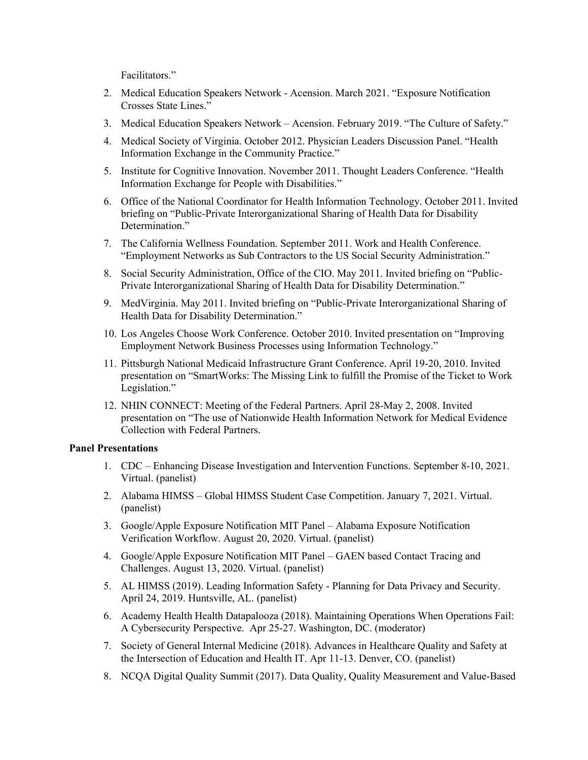Facilitators."

- 2. Medical Education Speakers Network Acension. March 2021. "Exposure Notification Crosses State Lines."
- 3. Medical Education Speakers Network Acension. February 2019. "The Culture of Safety."
- 4. Medical Society of Virginia. October 2012. Physician Leaders Discussion Panel. "Health Information Exchange in the Community Practice."
- 5. Institute for Cognitive Innovation. November 2011. Thought Leaders Conference. "Health Information Exchange for People with Disabilities."
- 6. Office of the National Coordinator for Health Information Technology. October 2011. Invited briefing on "Public-Private Interorganizational Sharing of Health Data for Disability Determination."
- 7. The California Wellness Foundation. September 2011. Work and Health Conference. "Employment Networks as Sub Contractors to the US Social Security Administration."
- 8. Social Security Administration, Office of the CIO. May 2011. Invited briefing on "Public-Private Interorganizational Sharing of Health Data for Disability Determination."
- 9. MedVirginia. May 2011. Invited briefing on "Public-Private Interorganizational Sharing of Health Data for Disability Determination."
- 10. Los Angeles Choose Work Conference. October 2010. Invited presentation on "Improving Employment Network Business Processes using Information Technology."
- 11. Pittsburgh National Medicaid Infrastructure Grant Conference. April 19-20, 2010. Invited presentation on "SmartWorks: The Missing Link to fulfill the Promise of the Ticket to Work Legislation."
- 12. NHIN CONNECT: Meeting of the Federal Partners. April 28-May 2, 2008. Invited presentation on "The use of Nationwide Health Information Network for Medical Evidence Collection with Federal Partners.

### **Panel Presentations**

- 1. CDC Enhancing Disease Investigation and Intervention Functions. September 8-10, 2021. Virtual. (panelist)
- 2. Alabama HIMSS Global HIMSS Student Case Competition. January 7, 2021. Virtual. (panelist)
- 3. Google/Apple Exposure Notification MIT Panel Alabama Exposure Notification Verification Workflow. August 20, 2020. Virtual. (panelist)
- 4. Google/Apple Exposure Notification MIT Panel GAEN based Contact Tracing and Challenges. August 13, 2020. Virtual. (panelist)
- 5. AL HIMSS (2019). Leading Information Safety Planning for Data Privacy and Security. April 24, 2019. Huntsville, AL. (panelist)
- 6. Academy Health Health Datapalooza (2018). Maintaining Operations When Operations Fail: A Cybersecurity Perspective. Apr 25-27. Washington, DC. (moderator)
- 7. Society of General Internal Medicine (2018). Advances in Healthcare Quality and Safety at the Intersection of Education and Health IT. Apr 11-13. Denver, CO. (panelist)
- 8. NCQA Digital Quality Summit (2017). Data Quality, Quality Measurement and Value-Based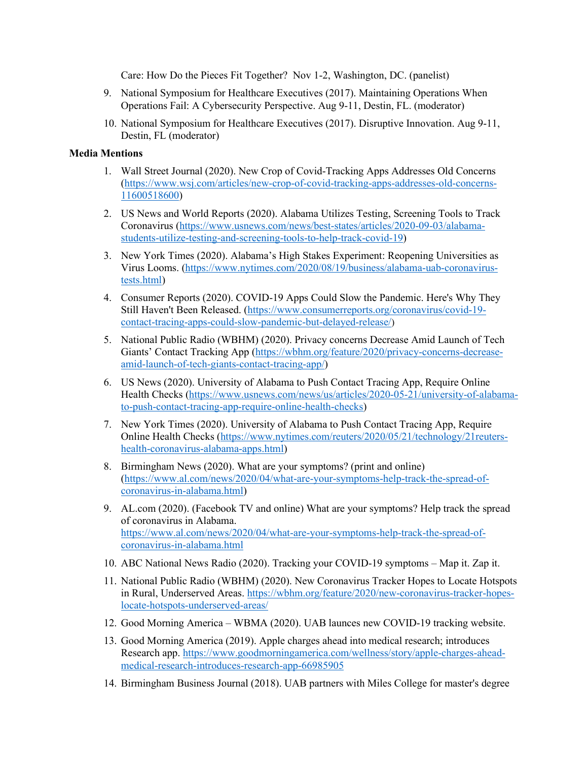Care: How Do the Pieces Fit Together? Nov 1-2, Washington, DC. (panelist)

- 9. National Symposium for Healthcare Executives (2017). Maintaining Operations When Operations Fail: A Cybersecurity Perspective. Aug 9-11, Destin, FL. (moderator)
- 10. National Symposium for Healthcare Executives (2017). Disruptive Innovation. Aug 9-11, Destin, FL (moderator)

# **Media Mentions**

- 1. Wall Street Journal (2020). New Crop of Covid-Tracking Apps Addresses Old Concerns [\(https://www.wsj.com/articles/new-crop-of-covid-tracking-apps-addresses-old-concerns-](https://www.wsj.com/articles/new-crop-of-covid-tracking-apps-addresses-old-concerns-11600518600)[11600518600\)](https://www.wsj.com/articles/new-crop-of-covid-tracking-apps-addresses-old-concerns-11600518600)
- 2. US News and World Reports (2020). Alabama Utilizes Testing, Screening Tools to Track Coronavirus [\(https://www.usnews.com/news/best-states/articles/2020-09-03/alabama](https://www.usnews.com/news/best-states/articles/2020-09-03/alabama-students-utilize-testing-and-screening-tools-to-help-track-covid-19)[students-utilize-testing-and-screening-tools-to-help-track-covid-19\)](https://www.usnews.com/news/best-states/articles/2020-09-03/alabama-students-utilize-testing-and-screening-tools-to-help-track-covid-19)
- 3. New York Times (2020). Alabama's High Stakes Experiment: Reopening Universities as Virus Looms. [\(https://www.nytimes.com/2020/08/19/business/alabama-uab-coronavirus](https://www.nytimes.com/2020/08/19/business/alabama-uab-coronavirus-tests.html)[tests.html\)](https://www.nytimes.com/2020/08/19/business/alabama-uab-coronavirus-tests.html)
- 4. Consumer Reports (2020). COVID-19 Apps Could Slow the Pandemic. Here's Why They Still Haven't Been Released. [\(https://www.consumerreports.org/coronavirus/covid-19](https://www.consumerreports.org/coronavirus/covid-19-contact-tracing-apps-could-slow-pandemic-but-delayed-release/) [contact-tracing-apps-could-slow-pandemic-but-delayed-release/\)](https://www.consumerreports.org/coronavirus/covid-19-contact-tracing-apps-could-slow-pandemic-but-delayed-release/)
- 5. National Public Radio (WBHM) (2020). Privacy concerns Decrease Amid Launch of Tech Giants' Contact Tracking App [\(https://wbhm.org/feature/2020/privacy-concerns-decrease](https://wbhm.org/feature/2020/privacy-concerns-decrease-amid-launch-of-tech-giants-contact-tracing-app/)[amid-launch-of-tech-giants-contact-tracing-app/\)](https://wbhm.org/feature/2020/privacy-concerns-decrease-amid-launch-of-tech-giants-contact-tracing-app/)
- 6. US News (2020). University of Alabama to Push Contact Tracing App, Require Online Health Checks [\(https://www.usnews.com/news/us/articles/2020-05-21/university-of-alabama](https://www.usnews.com/news/us/articles/2020-05-21/university-of-alabama-to-push-contact-tracing-app-require-online-health-checks)[to-push-contact-tracing-app-require-online-health-checks\)](https://www.usnews.com/news/us/articles/2020-05-21/university-of-alabama-to-push-contact-tracing-app-require-online-health-checks)
- 7. New York Times (2020). University of Alabama to Push Contact Tracing App, Require Online Health Checks [\(https://www.nytimes.com/reuters/2020/05/21/technology/21reuters](https://www.nytimes.com/reuters/2020/05/21/technology/21reuters-health-coronavirus-alabama-apps.html)[health-coronavirus-alabama-apps.html\)](https://www.nytimes.com/reuters/2020/05/21/technology/21reuters-health-coronavirus-alabama-apps.html)
- 8. Birmingham News (2020). What are your symptoms? (print and online) [\(https://www.al.com/news/2020/04/what-are-your-symptoms-help-track-the-spread-of](https://www.al.com/news/2020/04/what-are-your-symptoms-help-track-the-spread-of-coronavirus-in-alabama.html)[coronavirus-in-alabama.html\)](https://www.al.com/news/2020/04/what-are-your-symptoms-help-track-the-spread-of-coronavirus-in-alabama.html)
- 9. AL.com (2020). (Facebook TV and online) What are your symptoms? Help track the spread of coronavirus in Alabama. [https://www.al.com/news/2020/04/what-are-your-symptoms-help-track-the-spread-of](https://www.al.com/news/2020/04/what-are-your-symptoms-help-track-the-spread-of-coronavirus-in-alabama.html)[coronavirus-in-alabama.html](https://www.al.com/news/2020/04/what-are-your-symptoms-help-track-the-spread-of-coronavirus-in-alabama.html)
- 10. ABC National News Radio (2020). Tracking your COVID-19 symptoms Map it. Zap it.
- 11. National Public Radio (WBHM) (2020). New Coronavirus Tracker Hopes to Locate Hotspots in Rural, Underserved Areas. [https://wbhm.org/feature/2020/new-coronavirus-tracker-hopes](https://wbhm.org/feature/2020/new-coronavirus-tracker-hopes-locate-hotspots-underserved-areas/)[locate-hotspots-underserved-areas/](https://wbhm.org/feature/2020/new-coronavirus-tracker-hopes-locate-hotspots-underserved-areas/)
- 12. Good Morning America WBMA (2020). UAB launces new COVID-19 tracking website.
- 13. Good Morning America (2019). Apple charges ahead into medical research; introduces Research app. [https://www.goodmorningamerica.com/wellness/story/apple-charges-ahead](https://www.goodmorningamerica.com/wellness/story/apple-charges-ahead-medical-research-introduces-research-app-66985905#_blank)[medical-research-introduces-research-app-66985905](https://www.goodmorningamerica.com/wellness/story/apple-charges-ahead-medical-research-introduces-research-app-66985905#_blank)
- 14. Birmingham Business Journal (2018). UAB partners with Miles College for master's degree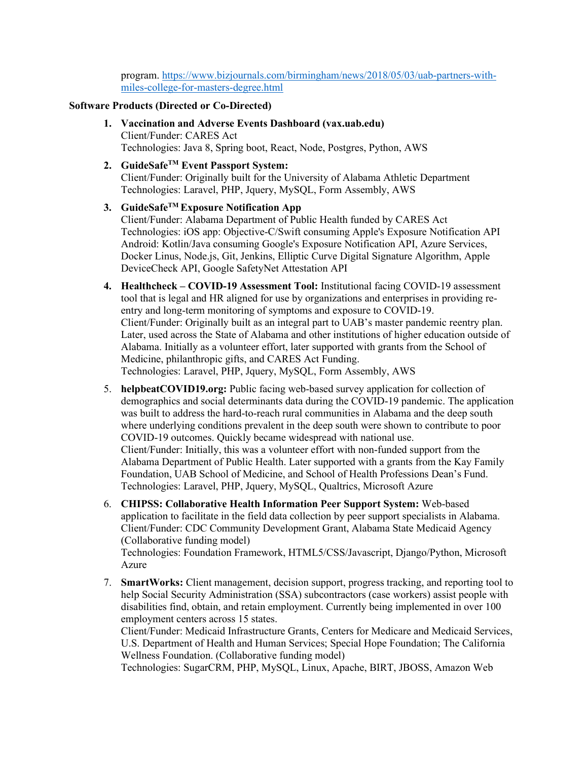program. [https://www.bizjournals.com/birmingham/news/2018/05/03/uab-partners-with](https://www.bizjournals.com/birmingham/news/2018/05/03/uab-partners-with-miles-college-for-masters-degree.html)[miles-college-for-masters-degree.html](https://www.bizjournals.com/birmingham/news/2018/05/03/uab-partners-with-miles-college-for-masters-degree.html)

### **Software Products (Directed or Co-Directed)**

- **1. Vaccination and Adverse Events Dashboard (vax.uab.edu)** Client/Funder: CARES Act Technologies: Java 8, Spring boot, React, Node, Postgres, Python, AWS
- **2. GuideSafeTM Event Passport System:**

Client/Funder: Originally built for the University of Alabama Athletic Department Technologies: Laravel, PHP, Jquery, MySQL, Form Assembly, AWS

## **3. GuideSafeTM Exposure Notification App**

Client/Funder: Alabama Department of Public Health funded by CARES Act Technologies: iOS app: Objective-C/Swift consuming Apple's Exposure Notification API Android: Kotlin/Java consuming Google's Exposure Notification API, Azure Services, Docker Linus, Node.js, Git, Jenkins, Elliptic Curve Digital Signature Algorithm, Apple DeviceCheck API, Google SafetyNet Attestation API

- **4. Healthcheck – COVID-19 Assessment Tool:** Institutional facing COVID-19 assessment tool that is legal and HR aligned for use by organizations and enterprises in providing reentry and long-term monitoring of symptoms and exposure to COVID-19. Client/Funder: Originally built as an integral part to UAB's master pandemic reentry plan. Later, used across the State of Alabama and other institutions of higher education outside of Alabama. Initially as a volunteer effort, later supported with grants from the School of Medicine, philanthropic gifts, and CARES Act Funding. Technologies: Laravel, PHP, Jquery, MySQL, Form Assembly, AWS
- 5. **helpbeatCOVID19.org:** Public facing web-based survey application for collection of demographics and social determinants data during the COVID-19 pandemic. The application was built to address the hard-to-reach rural communities in Alabama and the deep south where underlying conditions prevalent in the deep south were shown to contribute to poor COVID-19 outcomes. Quickly became widespread with national use. Client/Funder: Initially, this was a volunteer effort with non-funded support from the Alabama Department of Public Health. Later supported with a grants from the Kay Family Foundation, UAB School of Medicine, and School of Health Professions Dean's Fund. Technologies: Laravel, PHP, Jquery, MySQL, Qualtrics, Microsoft Azure
- 6. **CHIPSS: Collaborative Health Information Peer Support System:** Web-based application to facilitate in the field data collection by peer support specialists in Alabama. Client/Funder: CDC Community Development Grant, Alabama State Medicaid Agency (Collaborative funding model) Technologies: Foundation Framework, HTML5/CSS/Javascript, Django/Python, Microsoft Azure
- 7. **SmartWorks:** Client management, decision support, progress tracking, and reporting tool to help Social Security Administration (SSA) subcontractors (case workers) assist people with disabilities find, obtain, and retain employment. Currently being implemented in over 100 employment centers across 15 states.

Client/Funder: Medicaid Infrastructure Grants, Centers for Medicare and Medicaid Services, U.S. Department of Health and Human Services; Special Hope Foundation; The California Wellness Foundation. (Collaborative funding model)

Technologies: SugarCRM, PHP, MySQL, Linux, Apache, BIRT, JBOSS, Amazon Web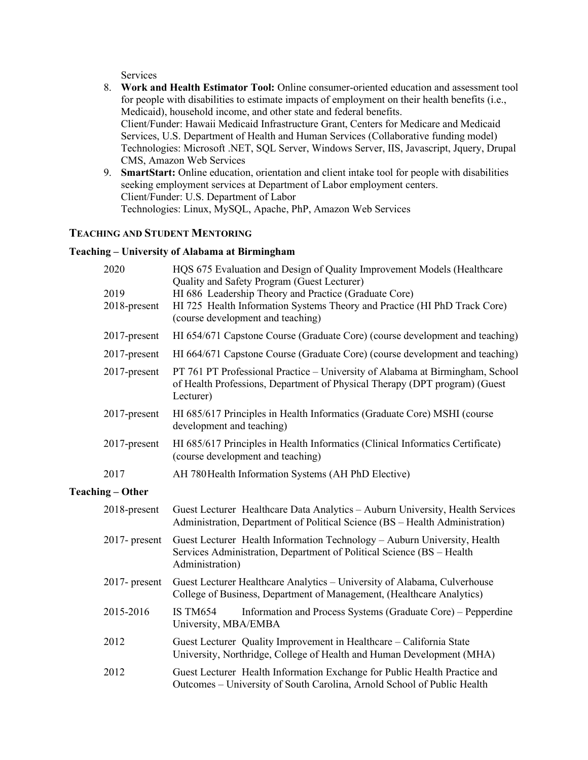Services

- 8. **Work and Health Estimator Tool:** Online consumer-oriented education and assessment tool for people with disabilities to estimate impacts of employment on their health benefits (i.e., Medicaid), household income, and other state and federal benefits. Client/Funder: Hawaii Medicaid Infrastructure Grant, Centers for Medicare and Medicaid Services, U.S. Department of Health and Human Services (Collaborative funding model) Technologies: Microsoft .NET, SQL Server, Windows Server, IIS, Javascript, Jquery, Drupal CMS, Amazon Web Services
- 9. **SmartStart:** Online education, orientation and client intake tool for people with disabilities seeking employment services at Department of Labor employment centers. Client/Funder: U.S. Department of Labor Technologies: Linux, MySQL, Apache, PhP, Amazon Web Services

# **TEACHING AND STUDENT MENTORING**

## **Teaching – University of Alabama at Birmingham**

| 2020                    | HQS 675 Evaluation and Design of Quality Improvement Models (Healthcare<br>Quality and Safety Program (Guest Lecturer)                                                   |  |  |
|-------------------------|--------------------------------------------------------------------------------------------------------------------------------------------------------------------------|--|--|
| 2019<br>2018-present    | HI 686 Leadership Theory and Practice (Graduate Core)<br>HI 725 Health Information Systems Theory and Practice (HI PhD Track Core)<br>(course development and teaching)  |  |  |
| 2017-present            | HI 654/671 Capstone Course (Graduate Core) (course development and teaching)                                                                                             |  |  |
| 2017-present            | HI 664/671 Capstone Course (Graduate Core) (course development and teaching)                                                                                             |  |  |
| 2017-present            | PT 761 PT Professional Practice - University of Alabama at Birmingham, School<br>of Health Professions, Department of Physical Therapy (DPT program) (Guest<br>Lecturer) |  |  |
| $2017$ -present         | HI 685/617 Principles in Health Informatics (Graduate Core) MSHI (course<br>development and teaching)                                                                    |  |  |
| 2017-present            | HI 685/617 Principles in Health Informatics (Clinical Informatics Certificate)<br>(course development and teaching)                                                      |  |  |
| 2017                    | AH 780 Health Information Systems (AH PhD Elective)                                                                                                                      |  |  |
| <b>Teaching – Other</b> |                                                                                                                                                                          |  |  |
| 2018-present            | Guest Lecturer Healthcare Data Analytics - Auburn University, Health Services<br>Administration, Department of Political Science (BS - Health Administration)            |  |  |
| $2017$ - present        | Guest Lecturer Health Information Technology - Auburn University, Health<br>Services Administration, Department of Political Science (BS - Health<br>Administration)     |  |  |
| $2017$ - present        | Guest Lecturer Healthcare Analytics - University of Alabama, Culverhouse<br>College of Business, Department of Management, (Healthcare Analytics)                        |  |  |
| 2015-2016               | Information and Process Systems (Graduate Core) – Pepperdine<br><b>IS TM654</b><br>University, MBA/EMBA                                                                  |  |  |
| 2012                    | Guest Lecturer Quality Improvement in Healthcare - California State<br>University, Northridge, College of Health and Human Development (MHA)                             |  |  |
| 2012                    | Guest Lecturer Health Information Exchange for Public Health Practice and<br>Outcomes - University of South Carolina, Arnold School of Public Health                     |  |  |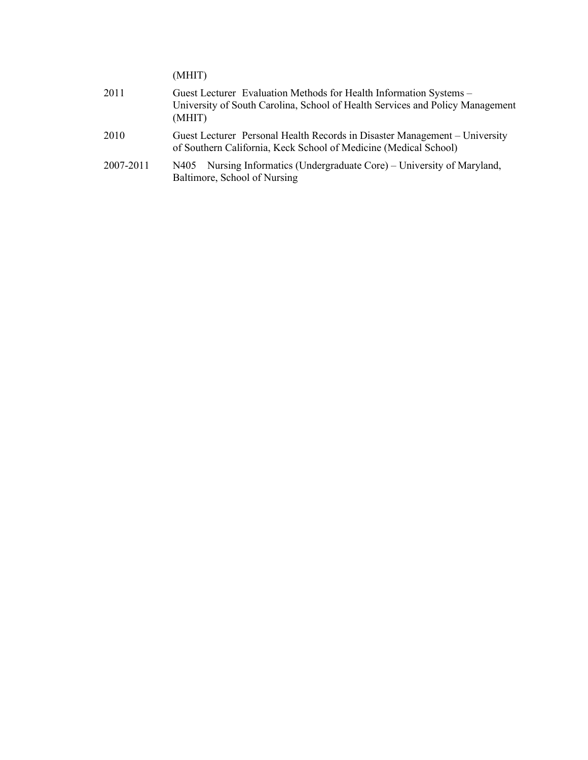(MHIT)

| 2011      | Guest Lecturer Evaluation Methods for Health Information Systems -<br>University of South Carolina, School of Health Services and Policy Management<br>(MHIT) |
|-----------|---------------------------------------------------------------------------------------------------------------------------------------------------------------|
| 2010      | Guest Lecturer Personal Health Records in Disaster Management – University<br>of Southern California, Keck School of Medicine (Medical School)                |
| 2007-2011 | Nursing Informatics (Undergraduate Core) – University of Maryland,<br>N405<br>Baltimore, School of Nursing                                                    |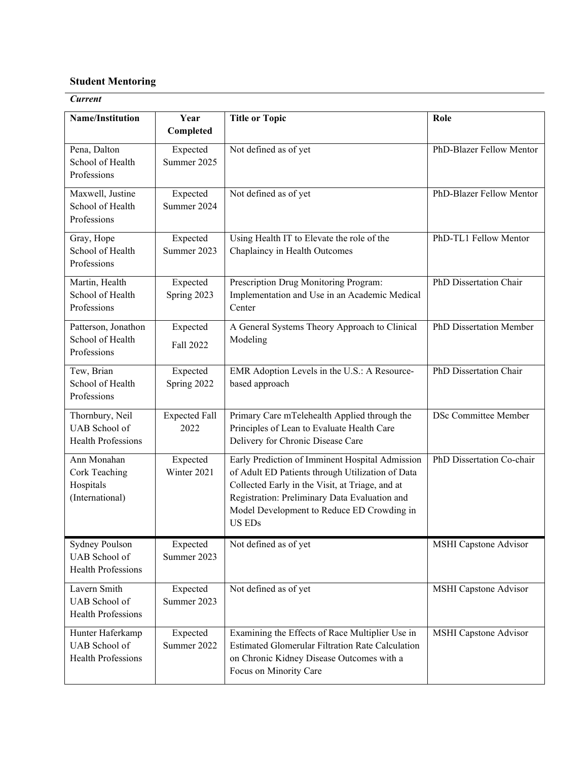# **Student Mentoring**

# *Current*

| <b>Name/Institution</b>                                      | Year<br>Completed            | <b>Title or Topic</b>                                                                                                                                                                                                                                                  | Role                           |
|--------------------------------------------------------------|------------------------------|------------------------------------------------------------------------------------------------------------------------------------------------------------------------------------------------------------------------------------------------------------------------|--------------------------------|
| Pena, Dalton<br>School of Health<br>Professions              | Expected<br>Summer 2025      | Not defined as of yet                                                                                                                                                                                                                                                  | PhD-Blazer Fellow Mentor       |
| Maxwell, Justine<br>School of Health<br>Professions          | Expected<br>Summer 2024      | Not defined as of yet                                                                                                                                                                                                                                                  | PhD-Blazer Fellow Mentor       |
| Gray, Hope<br>School of Health<br>Professions                | Expected<br>Summer 2023      | Using Health IT to Elevate the role of the<br>Chaplaincy in Health Outcomes                                                                                                                                                                                            | PhD-TL1 Fellow Mentor          |
| Martin, Health<br>School of Health<br>Professions            | Expected<br>Spring 2023      | Prescription Drug Monitoring Program:<br>Implementation and Use in an Academic Medical<br>Center                                                                                                                                                                       | PhD Dissertation Chair         |
| Patterson, Jonathon<br>School of Health<br>Professions       | Expected<br>Fall 2022        | A General Systems Theory Approach to Clinical<br>Modeling                                                                                                                                                                                                              | <b>PhD Dissertation Member</b> |
| Tew, Brian<br>School of Health<br>Professions                | Expected<br>Spring 2022      | EMR Adoption Levels in the U.S.: A Resource-<br>based approach                                                                                                                                                                                                         | PhD Dissertation Chair         |
| Thornbury, Neil<br>UAB School of<br>Health Professions       | <b>Expected Fall</b><br>2022 | Primary Care mTelehealth Applied through the<br>Principles of Lean to Evaluate Health Care<br>Delivery for Chronic Disease Care                                                                                                                                        | <b>DSc Committee Member</b>    |
| Ann Monahan<br>Cork Teaching<br>Hospitals<br>(International) | Expected<br>Winter 2021      | Early Prediction of Imminent Hospital Admission<br>of Adult ED Patients through Utilization of Data<br>Collected Early in the Visit, at Triage, and at<br>Registration: Preliminary Data Evaluation and<br>Model Development to Reduce ED Crowding in<br><b>US EDs</b> | PhD Dissertation Co-chair      |
| Sydney Poulson<br><b>UAB</b> School of<br>Health Professions | Expected<br>Summer 2023      | Not defined as of yet                                                                                                                                                                                                                                                  | <b>MSHI</b> Capstone Advisor   |
| Lavern Smith<br><b>UAB</b> School of<br>Health Professions   | Expected<br>Summer 2023      | Not defined as of yet                                                                                                                                                                                                                                                  | <b>MSHI</b> Capstone Advisor   |
| Hunter Haferkamp<br>UAB School of<br>Health Professions      | Expected<br>Summer 2022      | Examining the Effects of Race Multiplier Use in<br>Estimated Glomerular Filtration Rate Calculation<br>on Chronic Kidney Disease Outcomes with a<br>Focus on Minority Care                                                                                             | <b>MSHI</b> Capstone Advisor   |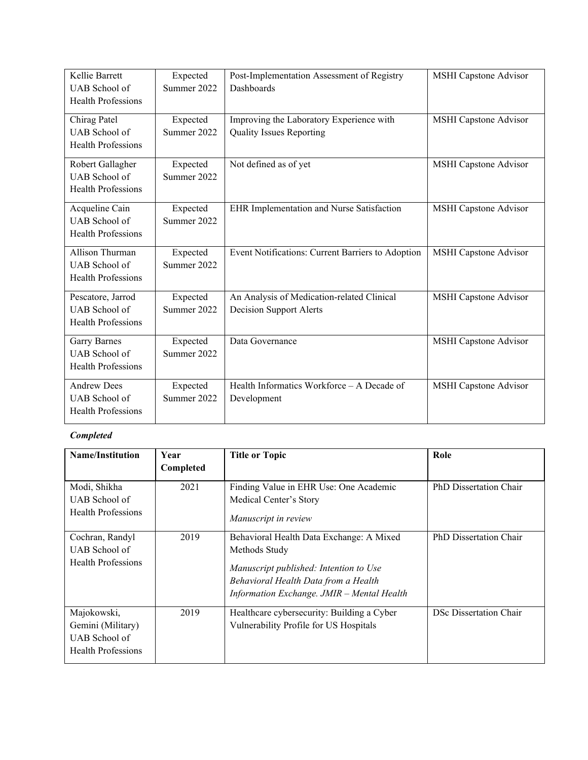| Kellie Barrett            | Expected    | Post-Implementation Assessment of Registry        | <b>MSHI</b> Capstone Advisor |
|---------------------------|-------------|---------------------------------------------------|------------------------------|
| UAB School of             | Summer 2022 | Dashboards                                        |                              |
| <b>Health Professions</b> |             |                                                   |                              |
| Chirag Patel              | Expected    | Improving the Laboratory Experience with          | <b>MSHI</b> Capstone Advisor |
| UAB School of             | Summer 2022 | <b>Quality Issues Reporting</b>                   |                              |
| <b>Health Professions</b> |             |                                                   |                              |
| Robert Gallagher          | Expected    | Not defined as of yet                             | <b>MSHI</b> Capstone Advisor |
| UAB School of             | Summer 2022 |                                                   |                              |
| <b>Health Professions</b> |             |                                                   |                              |
| Acqueline Cain            | Expected    | EHR Implementation and Nurse Satisfaction         | MSHI Capstone Advisor        |
| <b>UAB</b> School of      | Summer 2022 |                                                   |                              |
| <b>Health Professions</b> |             |                                                   |                              |
| Allison Thurman           | Expected    | Event Notifications: Current Barriers to Adoption | <b>MSHI</b> Capstone Advisor |
| UAB School of             | Summer 2022 |                                                   |                              |
| <b>Health Professions</b> |             |                                                   |                              |
| Pescatore, Jarrod         | Expected    | An Analysis of Medication-related Clinical        | <b>MSHI</b> Capstone Advisor |
| <b>UAB</b> School of      | Summer 2022 | <b>Decision Support Alerts</b>                    |                              |
| <b>Health Professions</b> |             |                                                   |                              |
| <b>Garry Barnes</b>       | Expected    | Data Governance                                   | <b>MSHI</b> Capstone Advisor |
| UAB School of             | Summer 2022 |                                                   |                              |
| Health Professions        |             |                                                   |                              |
| <b>Andrew Dees</b>        | Expected    | Health Informatics Workforce - A Decade of        | MSHI Capstone Advisor        |
| UAB School of             | Summer 2022 | Development                                       |                              |
| <b>Health Professions</b> |             |                                                   |                              |

# *Completed*

| <b>Name/Institution</b>                                                        | Year<br>Completed | <b>Title or Topic</b>                                                                                                                                                                     | Role                   |
|--------------------------------------------------------------------------------|-------------------|-------------------------------------------------------------------------------------------------------------------------------------------------------------------------------------------|------------------------|
| Modi, Shikha<br>UAB School of<br>Health Professions                            | 2021              | Finding Value in EHR Use: One Academic<br>Medical Center's Story<br>Manuscript in review                                                                                                  | PhD Dissertation Chair |
| Cochran, Randyl<br>UAB School of<br>Health Professions                         | 2019              | Behavioral Health Data Exchange: A Mixed<br>Methods Study<br>Manuscript published: Intention to Use<br>Behavioral Health Data from a Health<br>Information Exchange. JMIR - Mental Health | PhD Dissertation Chair |
| Majokowski,<br>Gemini (Military)<br>UAB School of<br><b>Health Professions</b> | 2019              | Healthcare cybersecurity: Building a Cyber<br>Vulnerability Profile for US Hospitals                                                                                                      | DSc Dissertation Chair |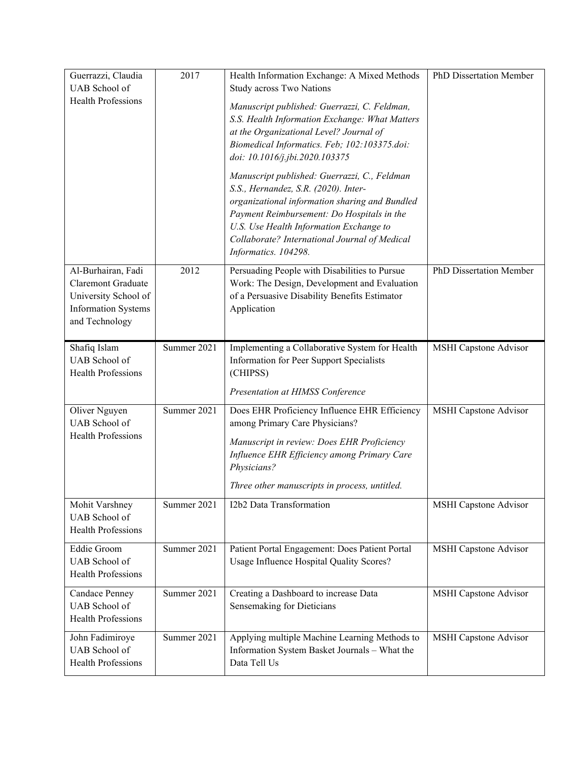| Guerrazzi, Claudia<br>UAB School of                                                                                     | 2017        | Health Information Exchange: A Mixed Methods<br>Study across Two Nations                                                                                                                                                                                                                                 | PhD Dissertation Member      |
|-------------------------------------------------------------------------------------------------------------------------|-------------|----------------------------------------------------------------------------------------------------------------------------------------------------------------------------------------------------------------------------------------------------------------------------------------------------------|------------------------------|
| <b>Health Professions</b>                                                                                               |             | Manuscript published: Guerrazzi, C. Feldman,<br>S.S. Health Information Exchange: What Matters<br>at the Organizational Level? Journal of<br>Biomedical Informatics. Feb; 102:103375.doi:<br>doi: 10.1016/j.jbi.2020.103375                                                                              |                              |
|                                                                                                                         |             | Manuscript published: Guerrazzi, C., Feldman<br>S.S., Hernandez, S.R. (2020). Inter-<br>organizational information sharing and Bundled<br>Payment Reimbursement: Do Hospitals in the<br>U.S. Use Health Information Exchange to<br>Collaborate? International Journal of Medical<br>Informatics. 104298. |                              |
| Al-Burhairan, Fadi<br><b>Claremont Graduate</b><br>University School of<br><b>Information Systems</b><br>and Technology | 2012        | Persuading People with Disabilities to Pursue<br>Work: The Design, Development and Evaluation<br>of a Persuasive Disability Benefits Estimator<br>Application                                                                                                                                            | PhD Dissertation Member      |
| Shafiq Islam<br>UAB School of<br><b>Health Professions</b>                                                              | Summer 2021 | Implementing a Collaborative System for Health<br>Information for Peer Support Specialists<br>(CHIPSS)                                                                                                                                                                                                   | <b>MSHI</b> Capstone Advisor |
|                                                                                                                         |             | Presentation at HIMSS Conference                                                                                                                                                                                                                                                                         |                              |
| Oliver Nguyen<br>UAB School of<br><b>Health Professions</b>                                                             | Summer 2021 | Does EHR Proficiency Influence EHR Efficiency<br>among Primary Care Physicians?<br>Manuscript in review: Does EHR Proficiency<br>Influence EHR Efficiency among Primary Care<br>Physicians?<br>Three other manuscripts in process, untitled.                                                             | <b>MSHI</b> Capstone Advisor |
| Mohit Varshney<br>UAB School of<br>Health Professions                                                                   | Summer 2021 | I2b2 Data Transformation                                                                                                                                                                                                                                                                                 | <b>MSHI</b> Capstone Advisor |
| <b>Eddie Groom</b><br>UAB School of<br>Health Professions                                                               | Summer 2021 | Patient Portal Engagement: Does Patient Portal<br>Usage Influence Hospital Quality Scores?                                                                                                                                                                                                               | <b>MSHI</b> Capstone Advisor |
| Candace Penney<br>UAB School of<br><b>Health Professions</b>                                                            | Summer 2021 | Creating a Dashboard to increase Data<br>Sensemaking for Dieticians                                                                                                                                                                                                                                      | <b>MSHI</b> Capstone Advisor |
| John Fadimiroye<br>UAB School of<br>Health Professions                                                                  | Summer 2021 | Applying multiple Machine Learning Methods to<br>Information System Basket Journals - What the<br>Data Tell Us                                                                                                                                                                                           | MSHI Capstone Advisor        |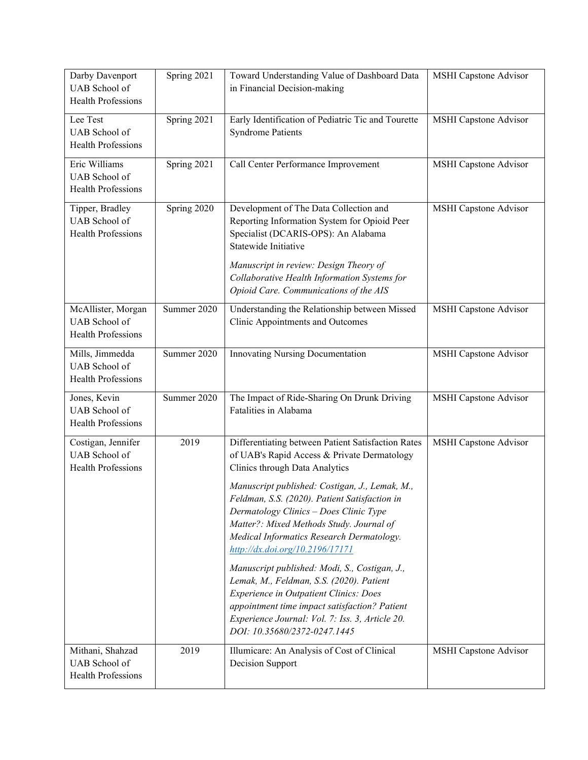| Darby Davenport<br><b>UAB</b> School of<br><b>Health Professions</b> | Spring 2021 | Toward Understanding Value of Dashboard Data<br>in Financial Decision-making                                                                                                                                                                                                                                                                                                                                                                                                                                                                                                                                                                                                                   | <b>MSHI</b> Capstone Advisor |
|----------------------------------------------------------------------|-------------|------------------------------------------------------------------------------------------------------------------------------------------------------------------------------------------------------------------------------------------------------------------------------------------------------------------------------------------------------------------------------------------------------------------------------------------------------------------------------------------------------------------------------------------------------------------------------------------------------------------------------------------------------------------------------------------------|------------------------------|
| Lee Test<br>UAB School of<br>Health Professions                      | Spring 2021 | Early Identification of Pediatric Tic and Tourette<br><b>Syndrome Patients</b>                                                                                                                                                                                                                                                                                                                                                                                                                                                                                                                                                                                                                 | MSHI Capstone Advisor        |
| Eric Williams<br>UAB School of<br>Health Professions                 | Spring 2021 | Call Center Performance Improvement                                                                                                                                                                                                                                                                                                                                                                                                                                                                                                                                                                                                                                                            | <b>MSHI</b> Capstone Advisor |
| Tipper, Bradley<br>UAB School of<br><b>Health Professions</b>        | Spring 2020 | Development of The Data Collection and<br>Reporting Information System for Opioid Peer<br>Specialist (DCARIS-OPS): An Alabama<br>Statewide Initiative<br>Manuscript in review: Design Theory of<br>Collaborative Health Information Systems for<br>Opioid Care. Communications of the AIS                                                                                                                                                                                                                                                                                                                                                                                                      | <b>MSHI</b> Capstone Advisor |
| McAllister, Morgan<br>UAB School of<br><b>Health Professions</b>     | Summer 2020 | Understanding the Relationship between Missed<br>Clinic Appointments and Outcomes                                                                                                                                                                                                                                                                                                                                                                                                                                                                                                                                                                                                              | <b>MSHI</b> Capstone Advisor |
| Mills, Jimmedda<br>UAB School of<br>Health Professions               | Summer 2020 | <b>Innovating Nursing Documentation</b>                                                                                                                                                                                                                                                                                                                                                                                                                                                                                                                                                                                                                                                        | MSHI Capstone Advisor        |
| Jones, Kevin<br>UAB School of<br>Health Professions                  | Summer 2020 | The Impact of Ride-Sharing On Drunk Driving<br>Fatalities in Alabama                                                                                                                                                                                                                                                                                                                                                                                                                                                                                                                                                                                                                           | <b>MSHI Capstone Advisor</b> |
| Costigan, Jennifer<br>UAB School of<br><b>Health Professions</b>     | 2019        | Differentiating between Patient Satisfaction Rates<br>of UAB's Rapid Access & Private Dermatology<br>Clinics through Data Analytics<br>Manuscript published: Costigan, J., Lemak, M.,<br>Feldman, S.S. (2020). Patient Satisfaction in<br>Dermatology Clinics - Does Clinic Type<br>Matter?: Mixed Methods Study. Journal of<br>Medical Informatics Research Dermatology.<br>http://dx.doi.org/10.2196/17171<br>Manuscript published: Modi, S., Costigan, J.,<br>Lemak, M., Feldman, S.S. (2020). Patient<br><b>Experience in Outpatient Clinics: Does</b><br>appointment time impact satisfaction? Patient<br>Experience Journal: Vol. 7: Iss. 3, Article 20.<br>DOI: 10.35680/2372-0247.1445 | <b>MSHI Capstone Advisor</b> |
| Mithani, Shahzad<br>UAB School of<br>Health Professions              | 2019        | Illumicare: An Analysis of Cost of Clinical<br>Decision Support                                                                                                                                                                                                                                                                                                                                                                                                                                                                                                                                                                                                                                | <b>MSHI</b> Capstone Advisor |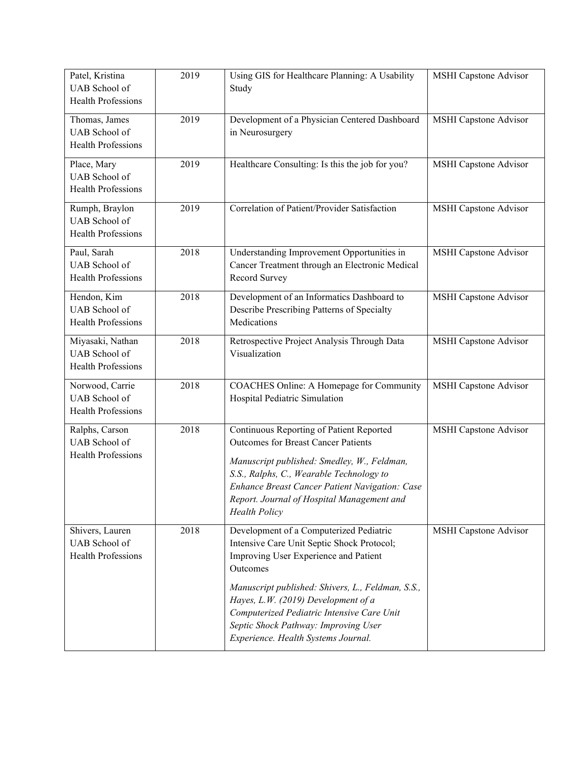| Patel, Kristina<br><b>UAB</b> School of<br>Health Professions         | 2019 | Using GIS for Healthcare Planning: A Usability<br>Study                                                                                                                                                                                                                                                   | <b>MSHI Capstone Advisor</b> |
|-----------------------------------------------------------------------|------|-----------------------------------------------------------------------------------------------------------------------------------------------------------------------------------------------------------------------------------------------------------------------------------------------------------|------------------------------|
| Thomas, James<br><b>UAB</b> School of<br>Health Professions           | 2019 | Development of a Physician Centered Dashboard<br>in Neurosurgery                                                                                                                                                                                                                                          | <b>MSHI</b> Capstone Advisor |
| Place, Mary<br>UAB School of<br>Health Professions                    | 2019 | Healthcare Consulting: Is this the job for you?                                                                                                                                                                                                                                                           | <b>MSHI</b> Capstone Advisor |
| Rumph, Braylon<br><b>UAB</b> School of<br><b>Health Professions</b>   | 2019 | Correlation of Patient/Provider Satisfaction                                                                                                                                                                                                                                                              | <b>MSHI</b> Capstone Advisor |
| Paul, Sarah<br>UAB School of<br><b>Health Professions</b>             | 2018 | Understanding Improvement Opportunities in<br>Cancer Treatment through an Electronic Medical<br>Record Survey                                                                                                                                                                                             | <b>MSHI</b> Capstone Advisor |
| Hendon, Kim<br><b>UAB</b> School of<br><b>Health Professions</b>      | 2018 | Development of an Informatics Dashboard to<br>Describe Prescribing Patterns of Specialty<br>Medications                                                                                                                                                                                                   | <b>MSHI</b> Capstone Advisor |
| Miyasaki, Nathan<br><b>UAB</b> School of<br><b>Health Professions</b> | 2018 | Retrospective Project Analysis Through Data<br>Visualization                                                                                                                                                                                                                                              | <b>MSHI</b> Capstone Advisor |
| Norwood, Carrie<br>UAB School of<br><b>Health Professions</b>         | 2018 | COACHES Online: A Homepage for Community<br>Hospital Pediatric Simulation                                                                                                                                                                                                                                 | <b>MSHI</b> Capstone Advisor |
| Ralphs, Carson<br>UAB School of<br><b>Health Professions</b>          | 2018 | Continuous Reporting of Patient Reported<br><b>Outcomes for Breast Cancer Patients</b><br>Manuscript published: Smedley, W., Feldman,<br>S.S., Ralphs, C., Wearable Technology to<br>Enhance Breast Cancer Patient Navigation: Case<br>Report. Journal of Hospital Management and<br><b>Health Policy</b> | <b>MSHI</b> Capstone Advisor |
| Shivers, Lauren<br>UAB School of<br><b>Health Professions</b>         | 2018 | Development of a Computerized Pediatric<br>Intensive Care Unit Septic Shock Protocol;<br>Improving User Experience and Patient<br>Outcomes<br>Manuscript published: Shivers, L., Feldman, S.S.,                                                                                                           | <b>MSHI</b> Capstone Advisor |
|                                                                       |      | Hayes, L.W. (2019) Development of a<br>Computerized Pediatric Intensive Care Unit<br>Septic Shock Pathway: Improving User<br>Experience. Health Systems Journal.                                                                                                                                          |                              |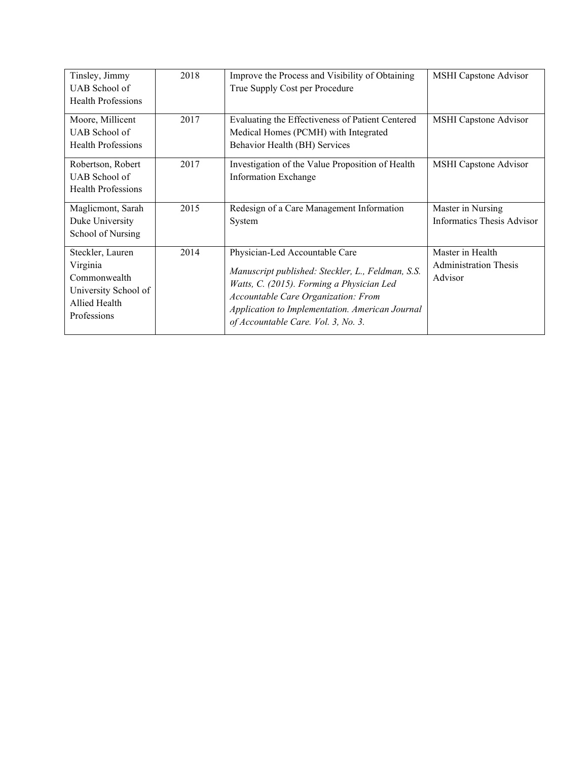| Tinsley, Jimmy            | 2018 | Improve the Process and Visibility of Obtaining                                        | MSHI Capstone Advisor        |
|---------------------------|------|----------------------------------------------------------------------------------------|------------------------------|
| UAB School of             |      | True Supply Cost per Procedure                                                         |                              |
| <b>Health Professions</b> |      |                                                                                        |                              |
| Moore, Millicent          | 2017 | Evaluating the Effectiveness of Patient Centered                                       | MSHI Capstone Advisor        |
| UAB School of             |      | Medical Homes (PCMH) with Integrated                                                   |                              |
| <b>Health Professions</b> |      | Behavior Health (BH) Services                                                          |                              |
| Robertson, Robert         | 2017 | Investigation of the Value Proposition of Health                                       | MSHI Capstone Advisor        |
| UAB School of             |      | <b>Information Exchange</b>                                                            |                              |
| <b>Health Professions</b> |      |                                                                                        |                              |
| Maglicmont, Sarah         | 2015 | Redesign of a Care Management Information                                              | Master in Nursing            |
|                           |      |                                                                                        |                              |
| Duke University           |      | System                                                                                 | Informatics Thesis Advisor   |
| School of Nursing         |      |                                                                                        |                              |
| Steckler, Lauren          | 2014 | Physician-Led Accountable Care                                                         | Master in Health             |
| Virginia                  |      |                                                                                        | <b>Administration Thesis</b> |
| Commonwealth              |      | Manuscript published: Steckler, L., Feldman, S.S.                                      | Advisor                      |
| University School of      |      | Watts, C. (2015). Forming a Physician Led                                              |                              |
| Allied Health             |      | Accountable Care Organization: From                                                    |                              |
| Professions               |      | Application to Implementation. American Journal<br>of Accountable Care. Vol. 3, No. 3. |                              |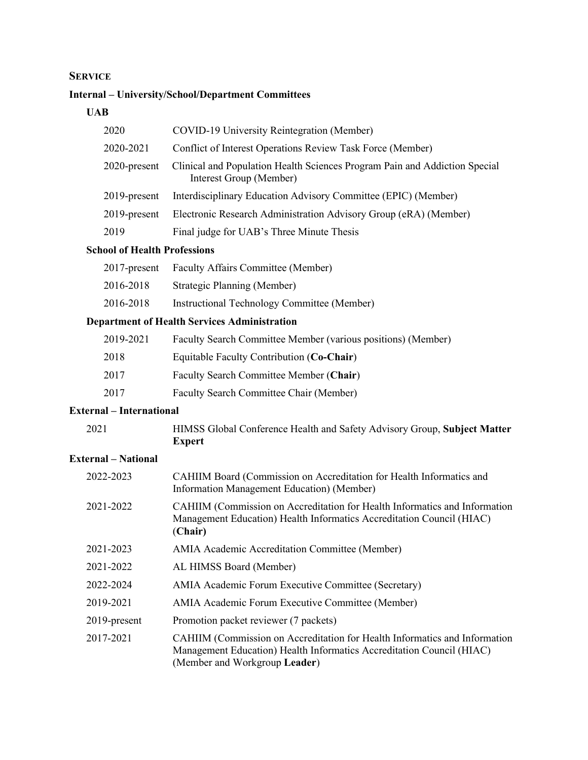# **SERVICE**

# **Internal – University/School/Department Committees**

# **UAB**

| 2020            | COVID-19 University Reintegration (Member)                                                            |
|-----------------|-------------------------------------------------------------------------------------------------------|
| 2020-2021       | Conflict of Interest Operations Review Task Force (Member)                                            |
| $2020$ -present | Clinical and Population Health Sciences Program Pain and Addiction Special<br>Interest Group (Member) |
| $2019$ -present | Interdisciplinary Education Advisory Committee (EPIC) (Member)                                        |
| 2019-present    | Electronic Research Administration Advisory Group (eRA) (Member)                                      |
| 2019            | Final judge for UAB's Three Minute Thesis                                                             |
|                 |                                                                                                       |

# **School of Health Professions**

| $2017$ -present | Faculty Affairs Committee (Member)          |
|-----------------|---------------------------------------------|
| 2016-2018       | Strategic Planning (Member)                 |
| 2016-2018       | Instructional Technology Committee (Member) |
|                 |                                             |

# **Department of Health Services Administration**

| 2019-2021 | Faculty Search Committee Member (various positions) (Member) |
|-----------|--------------------------------------------------------------|
| 2018      | Equitable Faculty Contribution (Co-Chair)                    |
| 2017      | Faculty Search Committee Member (Chair)                      |
| 2017      | Faculty Search Committee Chair (Member)                      |

# **External – International**

| 2021 | HIMSS Global Conference Health and Safety Advisory Group, Subject Matter |
|------|--------------------------------------------------------------------------|
|      | <b>Expert</b>                                                            |

# **External – National**

| CAHIIM Board (Commission on Accreditation for Health Informatics and<br>Information Management Education) (Member)                                                                   |
|--------------------------------------------------------------------------------------------------------------------------------------------------------------------------------------|
| CAHIIM (Commission on Accreditation for Health Informatics and Information<br>Management Education) Health Informatics Accreditation Council (HIAC)<br>(Chair)                       |
| AMIA Academic Accreditation Committee (Member)                                                                                                                                       |
| AL HIMSS Board (Member)                                                                                                                                                              |
| AMIA Academic Forum Executive Committee (Secretary)                                                                                                                                  |
| AMIA Academic Forum Executive Committee (Member)                                                                                                                                     |
| Promotion packet reviewer (7 packets)                                                                                                                                                |
| CAHIIM (Commission on Accreditation for Health Informatics and Information<br>Management Education) Health Informatics Accreditation Council (HIAC)<br>(Member and Workgroup Leader) |
|                                                                                                                                                                                      |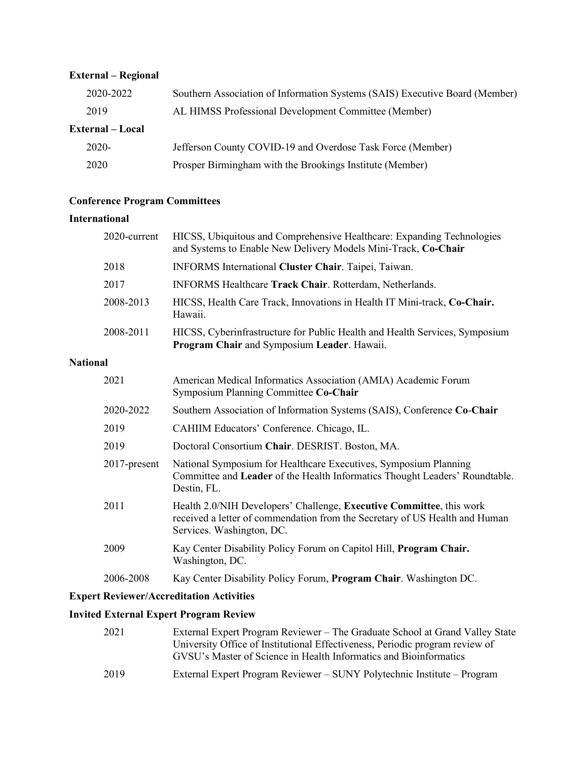# **External – Regional**

| 2020-2022        | Southern Association of Information Systems (SAIS) Executive Board (Member) |
|------------------|-----------------------------------------------------------------------------|
| 2019             | AL HIMSS Professional Development Committee (Member)                        |
| External – Local |                                                                             |
| $2020 -$         | Jefferson County COVID-19 and Overdose Task Force (Member)                  |
| 2020             | Prosper Birmingham with the Brookings Institute (Member)                    |

# **Conference Program Committees**

## **International**

|                 | 2020-current | HICSS, Ubiquitous and Comprehensive Healthcare: Expanding Technologies<br>and Systems to Enable New Delivery Models Mini-Track, Co-Chair                                                                                                                                                                                                                                                                |
|-----------------|--------------|---------------------------------------------------------------------------------------------------------------------------------------------------------------------------------------------------------------------------------------------------------------------------------------------------------------------------------------------------------------------------------------------------------|
|                 | 2018         | INFORMS International Cluster Chair. Taipei, Taiwan.                                                                                                                                                                                                                                                                                                                                                    |
|                 | 2017         | INFORMS Healthcare Track Chair. Rotterdam, Netherlands.                                                                                                                                                                                                                                                                                                                                                 |
|                 | 2008-2013    | HICSS, Health Care Track, Innovations in Health IT Mini-track, Co-Chair.<br>Hawaii.                                                                                                                                                                                                                                                                                                                     |
|                 | 2008-2011    | HICSS, Cyberinfrastructure for Public Health and Health Services, Symposium<br>Program Chair and Symposium Leader. Hawaii.                                                                                                                                                                                                                                                                              |
| <b>National</b> |              |                                                                                                                                                                                                                                                                                                                                                                                                         |
|                 | 2021         | American Medical Informatics Association (AMIA) Academic Forum<br>Symposium Planning Committee Co-Chair                                                                                                                                                                                                                                                                                                 |
|                 | 2020-2022    | Southern Association of Information Systems (SAIS), Conference Co-Chair                                                                                                                                                                                                                                                                                                                                 |
|                 | 2019         | CAHIIM Educators' Conference. Chicago, IL.                                                                                                                                                                                                                                                                                                                                                              |
|                 | 2019         | Doctoral Consortium Chair. DESRIST. Boston, MA.                                                                                                                                                                                                                                                                                                                                                         |
|                 | 2017-present | National Symposium for Healthcare Executives, Symposium Planning<br>Committee and Leader of the Health Informatics Thought Leaders' Roundtable.<br>Destin, FL.                                                                                                                                                                                                                                          |
|                 | 2011         | Health 2.0/NIH Developers' Challenge, Executive Committee, this work<br>received a letter of commendation from the Secretary of US Health and Human<br>Services. Washington, DC.                                                                                                                                                                                                                        |
|                 | 2009         | Kay Center Disability Policy Forum on Capitol Hill, Program Chair.<br>Washington, DC.                                                                                                                                                                                                                                                                                                                   |
|                 | 2006-2008    | Kay Center Disability Policy Forum, Program Chair. Washington DC.                                                                                                                                                                                                                                                                                                                                       |
|                 | $\sqrt{2}$   | The second contract $\mathbf{A} = \mathbf{A} \mathbf{A} + \mathbf{A} \mathbf{A} + \mathbf{A} \mathbf{A} + \mathbf{A} \mathbf{A} + \mathbf{A} \mathbf{A} + \mathbf{A} \mathbf{A} + \mathbf{A} \mathbf{A} + \mathbf{A} \mathbf{A} + \mathbf{A} \mathbf{A} + \mathbf{A} \mathbf{A} + \mathbf{A} \mathbf{A} + \mathbf{A} \mathbf{A} + \mathbf{A} \mathbf{A} + \mathbf{A} \mathbf{A} + \mathbf{A} \mathbf{A$ |

# **Expert Reviewer/Accreditation Activities**

# **Invited External Expert Program Review**

| 2021 | External Expert Program Reviewer - The Graduate School at Grand Valley State<br>University Office of Institutional Effectiveness, Periodic program review of<br>GVSU's Master of Science in Health Informatics and Bioinformatics |
|------|-----------------------------------------------------------------------------------------------------------------------------------------------------------------------------------------------------------------------------------|
| 2019 | External Expert Program Reviewer – SUNY Polytechnic Institute – Program                                                                                                                                                           |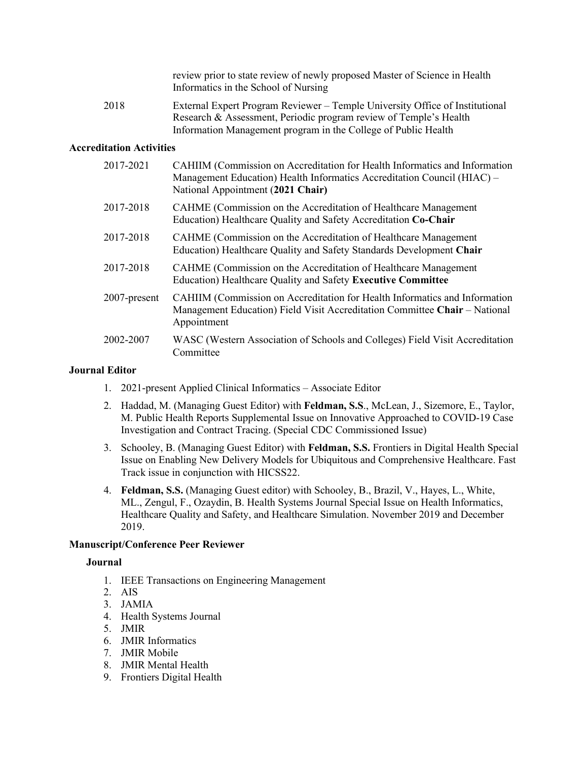review prior to state review of newly proposed Master of Science in Health Informatics in the School of Nursing

2018 External Expert Program Reviewer – Temple University Office of Institutional Research & Assessment, Periodic program review of Temple's Health Information Management program in the College of Public Health

## **Accreditation Activities**

| 2017-2021       | CAHIIM (Commission on Accreditation for Health Informatics and Information<br>Management Education) Health Informatics Accreditation Council (HIAC) –<br>National Appointment (2021 Chair) |
|-----------------|--------------------------------------------------------------------------------------------------------------------------------------------------------------------------------------------|
| 2017-2018       | CAHME (Commission on the Accreditation of Healthcare Management<br>Education) Healthcare Quality and Safety Accreditation Co-Chair                                                         |
| 2017-2018       | CAHME (Commission on the Accreditation of Healthcare Management<br>Education) Healthcare Quality and Safety Standards Development Chair                                                    |
| 2017-2018       | CAHME (Commission on the Accreditation of Healthcare Management<br>Education) Healthcare Quality and Safety Executive Committee                                                            |
| $2007$ -present | CAHIIM (Commission on Accreditation for Health Informatics and Information<br>Management Education) Field Visit Accreditation Committee Chair – National<br>Appointment                    |
| 2002-2007       | WASC (Western Association of Schools and Colleges) Field Visit Accreditation<br>Committee                                                                                                  |

### **Journal Editor**

- 1. 2021-present Applied Clinical Informatics Associate Editor
- 2. Haddad, M. (Managing Guest Editor) with **Feldman, S.S**., McLean, J., Sizemore, E., Taylor, M. Public Health Reports Supplemental Issue on Innovative Approached to COVID-19 Case Investigation and Contract Tracing. (Special CDC Commissioned Issue)
- 3. Schooley, B. (Managing Guest Editor) with **Feldman, S.S.** Frontiers in Digital Health Special Issue on Enabling New Delivery Models for Ubiquitous and Comprehensive Healthcare. Fast Track issue in conjunction with HICSS22.
- 4. **Feldman, S.S.** (Managing Guest editor) with Schooley, B., Brazil, V., Hayes, L., White, ML., Zengul, F., Ozaydin, B. Health Systems Journal Special Issue on Health Informatics, Healthcare Quality and Safety, and Healthcare Simulation. November 2019 and December 2019.

## **Manuscript/Conference Peer Reviewer**

#### **Journal**

- 1. IEEE Transactions on Engineering Management
- 2. AIS
- 3. JAMIA
- 4. Health Systems Journal
- 5. JMIR
- 6. JMIR Informatics
- 7. JMIR Mobile
- 8. JMIR Mental Health
- 9. Frontiers Digital Health